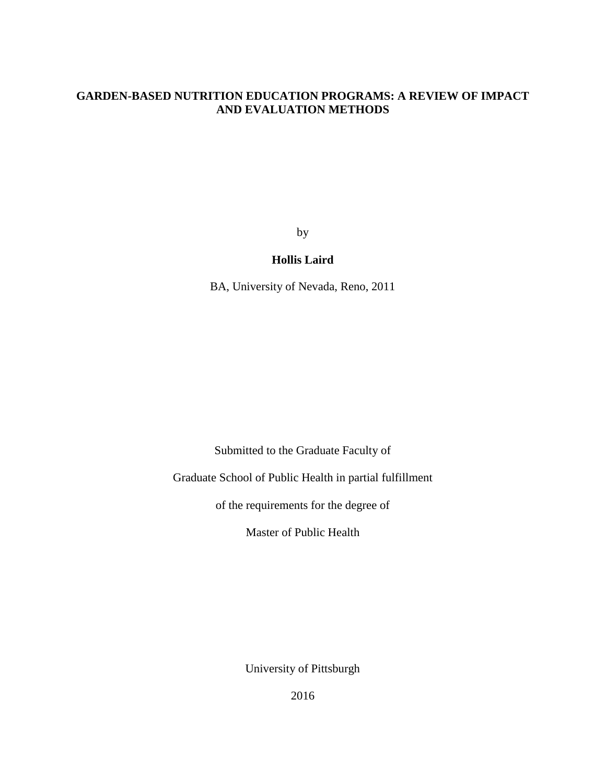# **GARDEN-BASED NUTRITION EDUCATION PROGRAMS: A REVIEW OF IMPACT AND EVALUATION METHODS**

by

# **Hollis Laird**

BA, University of Nevada, Reno, 2011

Submitted to the Graduate Faculty of

Graduate School of Public Health in partial fulfillment

of the requirements for the degree of

Master of Public Health

University of Pittsburgh

2016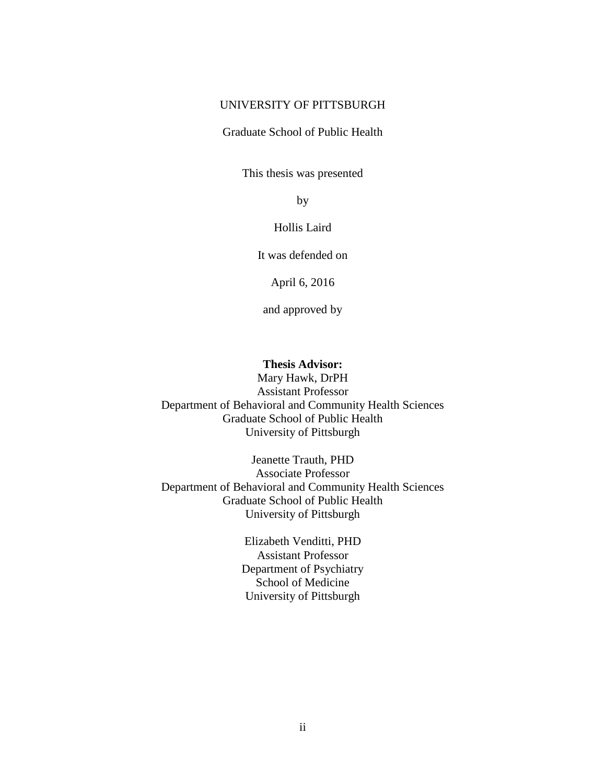# UNIVERSITY OF PITTSBURGH

### Graduate School of Public Health

This thesis was presented

by

Hollis Laird

It was defended on

April 6, 2016

and approved by

# **Thesis Advisor:**

Mary Hawk, DrPH Assistant Professor Department of Behavioral and Community Health Sciences Graduate School of Public Health University of Pittsburgh

Jeanette Trauth, PHD Associate Professor Department of Behavioral and Community Health Sciences Graduate School of Public Health University of Pittsburgh

> Elizabeth Venditti, PHD Assistant Professor Department of Psychiatry School of Medicine University of Pittsburgh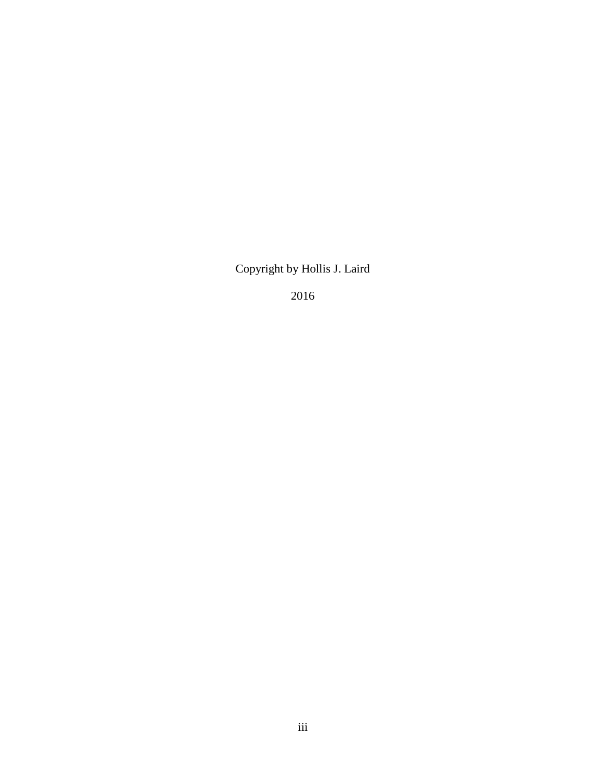Copyright by Hollis J. Laird

2016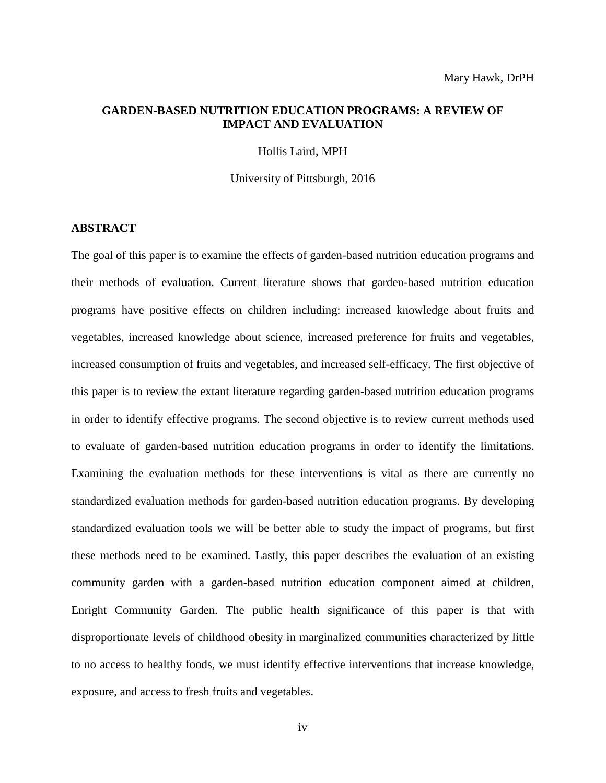# **GARDEN-BASED NUTRITION EDUCATION PROGRAMS: A REVIEW OF IMPACT AND EVALUATION**

Hollis Laird, MPH

University of Pittsburgh, 2016

# **ABSTRACT**

The goal of this paper is to examine the effects of garden-based nutrition education programs and their methods of evaluation. Current literature shows that garden-based nutrition education programs have positive effects on children including: increased knowledge about fruits and vegetables, increased knowledge about science, increased preference for fruits and vegetables, increased consumption of fruits and vegetables, and increased self-efficacy. The first objective of this paper is to review the extant literature regarding garden-based nutrition education programs in order to identify effective programs. The second objective is to review current methods used to evaluate of garden-based nutrition education programs in order to identify the limitations. Examining the evaluation methods for these interventions is vital as there are currently no standardized evaluation methods for garden-based nutrition education programs. By developing standardized evaluation tools we will be better able to study the impact of programs, but first these methods need to be examined. Lastly, this paper describes the evaluation of an existing community garden with a garden-based nutrition education component aimed at children, Enright Community Garden. The public health significance of this paper is that with disproportionate levels of childhood obesity in marginalized communities characterized by little to no access to healthy foods, we must identify effective interventions that increase knowledge, exposure, and access to fresh fruits and vegetables.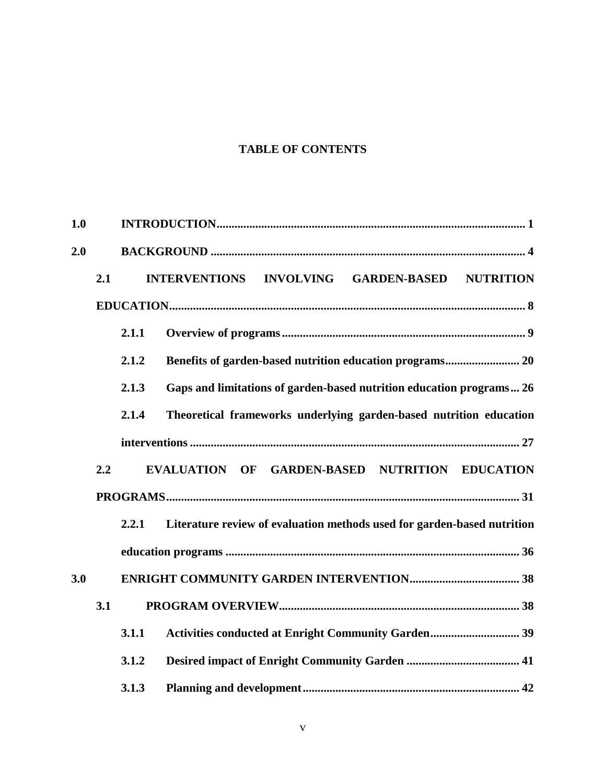# **TABLE OF CONTENTS**

| 1.0 |     |       |                                                                         |  |
|-----|-----|-------|-------------------------------------------------------------------------|--|
| 2.0 |     |       |                                                                         |  |
|     | 2.1 |       | <b>INTERVENTIONS</b><br>INVOLVING GARDEN-BASED NUTRITION                |  |
|     |     |       |                                                                         |  |
|     |     | 2.1.1 |                                                                         |  |
|     |     | 2.1.2 |                                                                         |  |
|     |     | 2.1.3 | Gaps and limitations of garden-based nutrition education programs 26    |  |
|     |     | 2.1.4 | Theoretical frameworks underlying garden-based nutrition education      |  |
|     |     |       |                                                                         |  |
|     | 2.2 |       | <b>GARDEN-BASED NUTRITION EDUCATION</b><br><b>EVALUATION OF</b>         |  |
|     |     |       |                                                                         |  |
|     |     | 2.2.1 | Literature review of evaluation methods used for garden-based nutrition |  |
|     |     |       |                                                                         |  |
| 3.0 |     |       |                                                                         |  |
|     | 3.1 |       |                                                                         |  |
|     |     | 3.1.1 |                                                                         |  |
|     |     | 3.1.2 |                                                                         |  |
|     |     | 3.1.3 |                                                                         |  |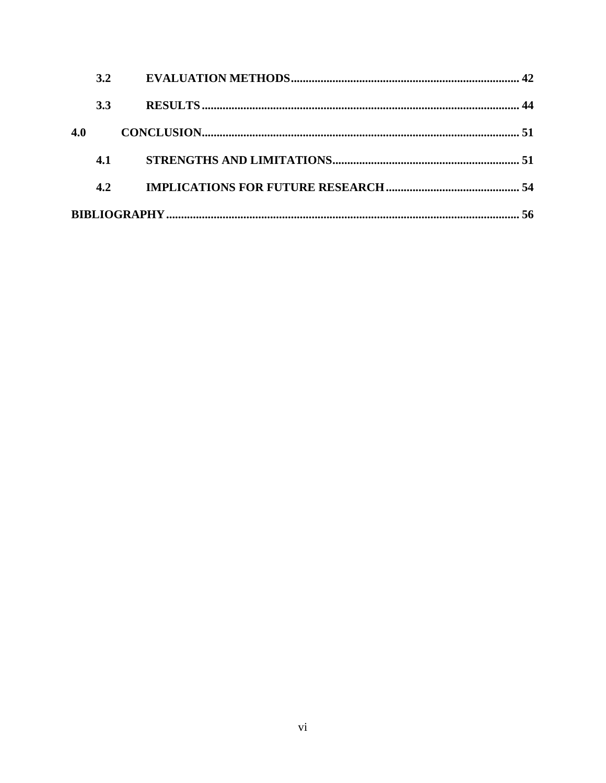|     | 3.2        |    |
|-----|------------|----|
|     | <b>3.3</b> |    |
| 4.0 |            |    |
|     | 4.1        |    |
|     | 4.2        |    |
|     |            | 56 |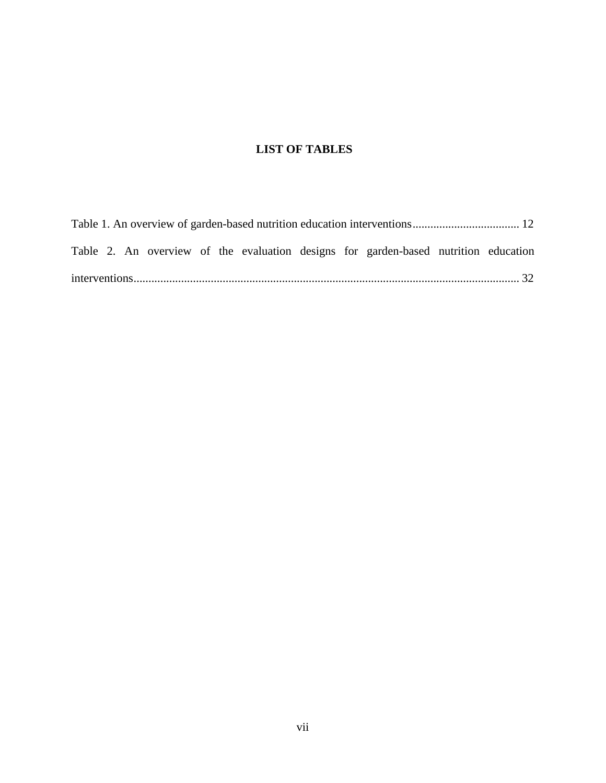# **LIST OF TABLES**

|  |  |  |  |  |  |  |  | Table 2. An overview of the evaluation designs for garden-based nutrition education |  |  |
|--|--|--|--|--|--|--|--|-------------------------------------------------------------------------------------|--|--|
|  |  |  |  |  |  |  |  |                                                                                     |  |  |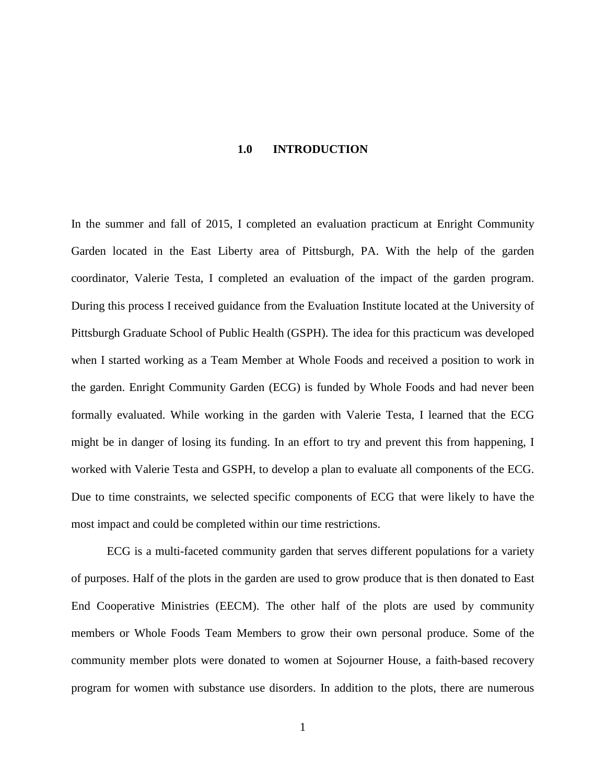#### **1.0 INTRODUCTION**

<span id="page-7-0"></span>In the summer and fall of 2015, I completed an evaluation practicum at Enright Community Garden located in the East Liberty area of Pittsburgh, PA. With the help of the garden coordinator, Valerie Testa, I completed an evaluation of the impact of the garden program. During this process I received guidance from the Evaluation Institute located at the University of Pittsburgh Graduate School of Public Health (GSPH). The idea for this practicum was developed when I started working as a Team Member at Whole Foods and received a position to work in the garden. Enright Community Garden (ECG) is funded by Whole Foods and had never been formally evaluated. While working in the garden with Valerie Testa, I learned that the ECG might be in danger of losing its funding. In an effort to try and prevent this from happening, I worked with Valerie Testa and GSPH, to develop a plan to evaluate all components of the ECG. Due to time constraints, we selected specific components of ECG that were likely to have the most impact and could be completed within our time restrictions.

ECG is a multi-faceted community garden that serves different populations for a variety of purposes. Half of the plots in the garden are used to grow produce that is then donated to East End Cooperative Ministries (EECM). The other half of the plots are used by community members or Whole Foods Team Members to grow their own personal produce. Some of the community member plots were donated to women at Sojourner House, a faith-based recovery program for women with substance use disorders. In addition to the plots, there are numerous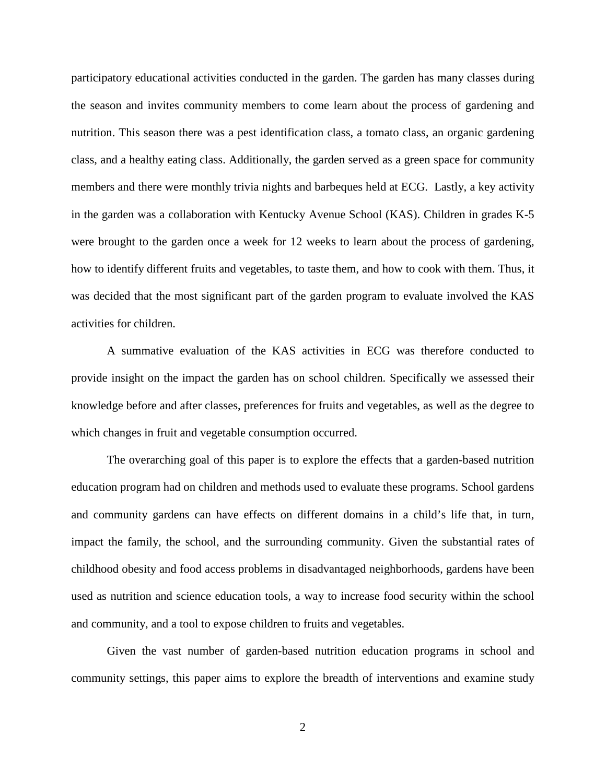participatory educational activities conducted in the garden. The garden has many classes during the season and invites community members to come learn about the process of gardening and nutrition. This season there was a pest identification class, a tomato class, an organic gardening class, and a healthy eating class. Additionally, the garden served as a green space for community members and there were monthly trivia nights and barbeques held at ECG. Lastly, a key activity in the garden was a collaboration with Kentucky Avenue School (KAS). Children in grades K-5 were brought to the garden once a week for 12 weeks to learn about the process of gardening, how to identify different fruits and vegetables, to taste them, and how to cook with them. Thus, it was decided that the most significant part of the garden program to evaluate involved the KAS activities for children.

A summative evaluation of the KAS activities in ECG was therefore conducted to provide insight on the impact the garden has on school children. Specifically we assessed their knowledge before and after classes, preferences for fruits and vegetables, as well as the degree to which changes in fruit and vegetable consumption occurred.

The overarching goal of this paper is to explore the effects that a garden-based nutrition education program had on children and methods used to evaluate these programs. School gardens and community gardens can have effects on different domains in a child's life that, in turn, impact the family, the school, and the surrounding community. Given the substantial rates of childhood obesity and food access problems in disadvantaged neighborhoods, gardens have been used as nutrition and science education tools, a way to increase food security within the school and community, and a tool to expose children to fruits and vegetables.

Given the vast number of garden-based nutrition education programs in school and community settings, this paper aims to explore the breadth of interventions and examine study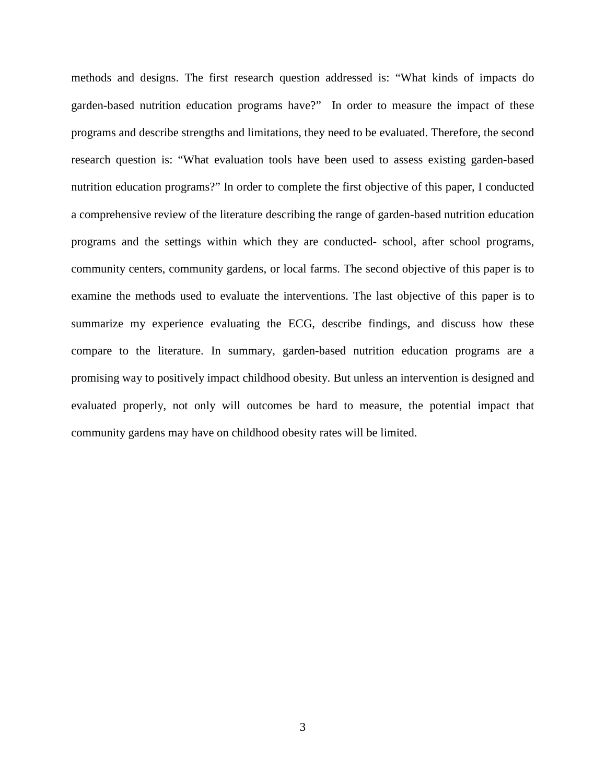methods and designs. The first research question addressed is: "What kinds of impacts do garden-based nutrition education programs have?" In order to measure the impact of these programs and describe strengths and limitations, they need to be evaluated. Therefore, the second research question is: "What evaluation tools have been used to assess existing garden-based nutrition education programs?" In order to complete the first objective of this paper, I conducted a comprehensive review of the literature describing the range of garden-based nutrition education programs and the settings within which they are conducted- school, after school programs, community centers, community gardens, or local farms. The second objective of this paper is to examine the methods used to evaluate the interventions. The last objective of this paper is to summarize my experience evaluating the ECG, describe findings, and discuss how these compare to the literature. In summary, garden-based nutrition education programs are a promising way to positively impact childhood obesity. But unless an intervention is designed and evaluated properly, not only will outcomes be hard to measure, the potential impact that community gardens may have on childhood obesity rates will be limited.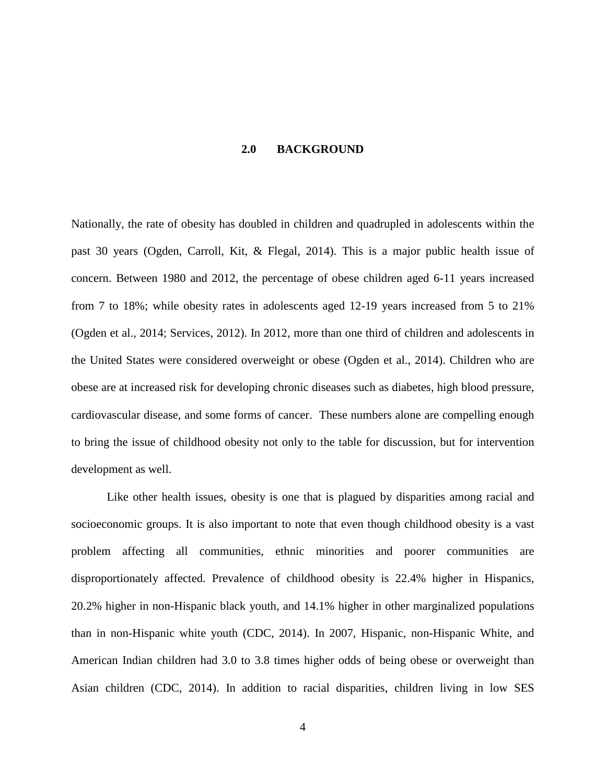#### **2.0 BACKGROUND**

<span id="page-10-0"></span>Nationally, the rate of obesity has doubled in children and quadrupled in adolescents within the past 30 years (Ogden, Carroll, Kit, & Flegal, 2014). This is a major public health issue of concern. Between 1980 and 2012, the percentage of obese children aged 6-11 years increased from 7 to 18%; while obesity rates in adolescents aged 12-19 years increased from 5 to 21% (Ogden et al., 2014; Services, 2012). In 2012, more than one third of children and adolescents in the United States were considered overweight or obese (Ogden et al., 2014). Children who are obese are at increased risk for developing chronic diseases such as diabetes, high blood pressure, cardiovascular disease, and some forms of cancer. These numbers alone are compelling enough to bring the issue of childhood obesity not only to the table for discussion, but for intervention development as well.

Like other health issues, obesity is one that is plagued by disparities among racial and socioeconomic groups. It is also important to note that even though childhood obesity is a vast problem affecting all communities, ethnic minorities and poorer communities are disproportionately affected. Prevalence of childhood obesity is 22.4% higher in Hispanics, 20.2% higher in non-Hispanic black youth, and 14.1% higher in other marginalized populations than in non-Hispanic white youth (CDC, 2014). In 2007, Hispanic, non-Hispanic White, and American Indian children had 3.0 to 3.8 times higher odds of being obese or overweight than Asian children (CDC, 2014). In addition to racial disparities, children living in low SES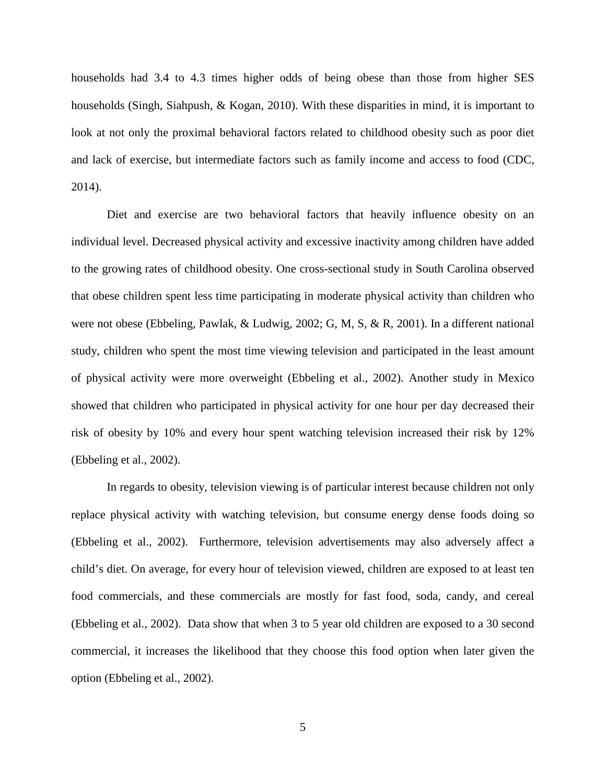households had 3.4 to 4.3 times higher odds of being obese than those from higher SES households (Singh, Siahpush, & Kogan, 2010). With these disparities in mind, it is important to look at not only the proximal behavioral factors related to childhood obesity such as poor diet and lack of exercise, but intermediate factors such as family income and access to food (CDC, 2014).

Diet and exercise are two behavioral factors that heavily influence obesity on an individual level. Decreased physical activity and excessive inactivity among children have added to the growing rates of childhood obesity. One cross-sectional study in South Carolina observed that obese children spent less time participating in moderate physical activity than children who were not obese (Ebbeling, Pawlak, & Ludwig, 2002; G, M, S, & R, 2001). In a different national study, children who spent the most time viewing television and participated in the least amount of physical activity were more overweight (Ebbeling et al., 2002). Another study in Mexico showed that children who participated in physical activity for one hour per day decreased their risk of obesity by 10% and every hour spent watching television increased their risk by 12% (Ebbeling et al., 2002).

In regards to obesity, television viewing is of particular interest because children not only replace physical activity with watching television, but consume energy dense foods doing so (Ebbeling et al., 2002). Furthermore, television advertisements may also adversely affect a child's diet. On average, for every hour of television viewed, children are exposed to at least ten food commercials, and these commercials are mostly for fast food, soda, candy, and cereal (Ebbeling et al., 2002). Data show that when 3 to 5 year old children are exposed to a 30 second commercial, it increases the likelihood that they choose this food option when later given the option (Ebbeling et al., 2002).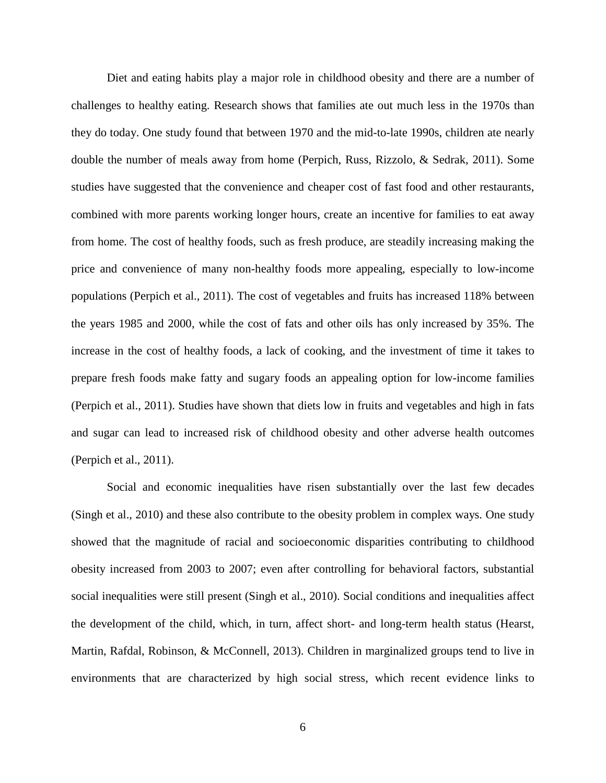Diet and eating habits play a major role in childhood obesity and there are a number of challenges to healthy eating. Research shows that families ate out much less in the 1970s than they do today. One study found that between 1970 and the mid-to-late 1990s, children ate nearly double the number of meals away from home (Perpich, Russ, Rizzolo, & Sedrak, 2011). Some studies have suggested that the convenience and cheaper cost of fast food and other restaurants, combined with more parents working longer hours, create an incentive for families to eat away from home. The cost of healthy foods, such as fresh produce, are steadily increasing making the price and convenience of many non-healthy foods more appealing, especially to low-income populations (Perpich et al., 2011). The cost of vegetables and fruits has increased 118% between the years 1985 and 2000, while the cost of fats and other oils has only increased by 35%. The increase in the cost of healthy foods, a lack of cooking, and the investment of time it takes to prepare fresh foods make fatty and sugary foods an appealing option for low-income families (Perpich et al., 2011). Studies have shown that diets low in fruits and vegetables and high in fats and sugar can lead to increased risk of childhood obesity and other adverse health outcomes (Perpich et al., 2011).

Social and economic inequalities have risen substantially over the last few decades (Singh et al., 2010) and these also contribute to the obesity problem in complex ways. One study showed that the magnitude of racial and socioeconomic disparities contributing to childhood obesity increased from 2003 to 2007; even after controlling for behavioral factors, substantial social inequalities were still present (Singh et al., 2010). Social conditions and inequalities affect the development of the child, which, in turn, affect short- and long-term health status (Hearst, Martin, Rafdal, Robinson, & McConnell, 2013). Children in marginalized groups tend to live in environments that are characterized by high social stress, which recent evidence links to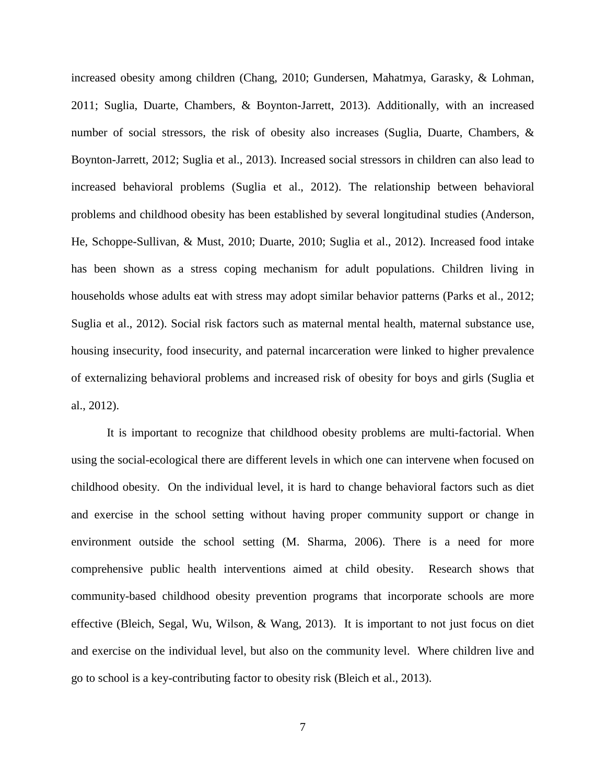increased obesity among children (Chang, 2010; Gundersen, Mahatmya, Garasky, & Lohman, 2011; Suglia, Duarte, Chambers, & Boynton-Jarrett, 2013). Additionally, with an increased number of social stressors, the risk of obesity also increases (Suglia, Duarte, Chambers, & Boynton-Jarrett, 2012; Suglia et al., 2013). Increased social stressors in children can also lead to increased behavioral problems (Suglia et al., 2012). The relationship between behavioral problems and childhood obesity has been established by several longitudinal studies (Anderson, He, Schoppe-Sullivan, & Must, 2010; Duarte, 2010; Suglia et al., 2012). Increased food intake has been shown as a stress coping mechanism for adult populations. Children living in households whose adults eat with stress may adopt similar behavior patterns (Parks et al., 2012; Suglia et al., 2012). Social risk factors such as maternal mental health, maternal substance use, housing insecurity, food insecurity, and paternal incarceration were linked to higher prevalence of externalizing behavioral problems and increased risk of obesity for boys and girls (Suglia et al., 2012).

It is important to recognize that childhood obesity problems are multi-factorial. When using the social-ecological there are different levels in which one can intervene when focused on childhood obesity. On the individual level, it is hard to change behavioral factors such as diet and exercise in the school setting without having proper community support or change in environment outside the school setting (M. Sharma, 2006). There is a need for more comprehensive public health interventions aimed at child obesity. Research shows that community-based childhood obesity prevention programs that incorporate schools are more effective (Bleich, Segal, Wu, Wilson, & Wang, 2013). It is important to not just focus on diet and exercise on the individual level, but also on the community level. Where children live and go to school is a key-contributing factor to obesity risk (Bleich et al., 2013).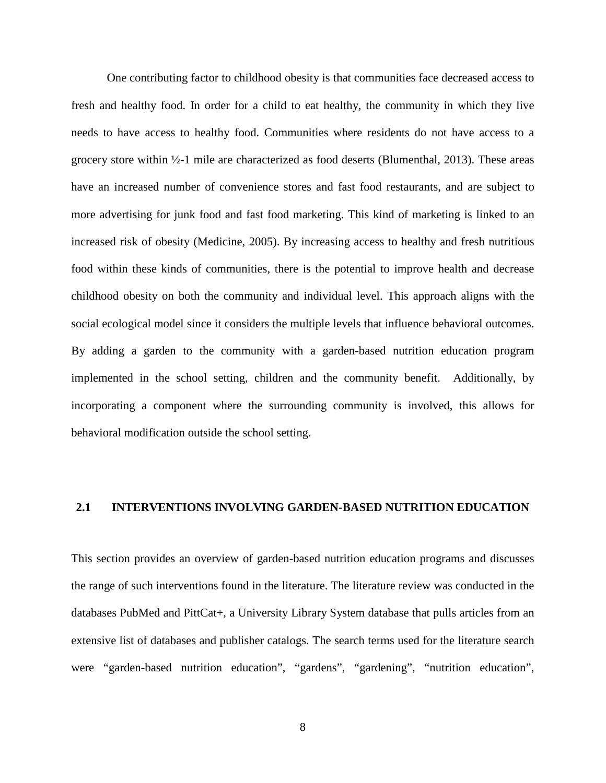One contributing factor to childhood obesity is that communities face decreased access to fresh and healthy food. In order for a child to eat healthy, the community in which they live needs to have access to healthy food. Communities where residents do not have access to a grocery store within ½-1 mile are characterized as food deserts (Blumenthal, 2013). These areas have an increased number of convenience stores and fast food restaurants, and are subject to more advertising for junk food and fast food marketing. This kind of marketing is linked to an increased risk of obesity (Medicine, 2005). By increasing access to healthy and fresh nutritious food within these kinds of communities, there is the potential to improve health and decrease childhood obesity on both the community and individual level. This approach aligns with the social ecological model since it considers the multiple levels that influence behavioral outcomes. By adding a garden to the community with a garden-based nutrition education program implemented in the school setting, children and the community benefit. Additionally, by incorporating a component where the surrounding community is involved, this allows for behavioral modification outside the school setting.

# <span id="page-14-0"></span>**2.1 INTERVENTIONS INVOLVING GARDEN-BASED NUTRITION EDUCATION**

This section provides an overview of garden-based nutrition education programs and discusses the range of such interventions found in the literature. The literature review was conducted in the databases PubMed and PittCat+, a University Library System database that pulls articles from an extensive list of databases and publisher catalogs. The search terms used for the literature search were "garden-based nutrition education", "gardens", "gardening", "nutrition education",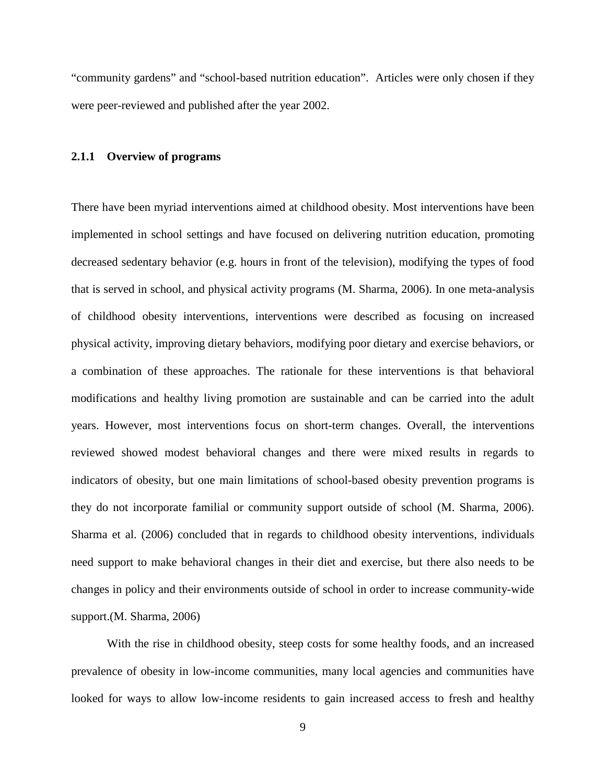"community gardens" and "school-based nutrition education". Articles were only chosen if they were peer-reviewed and published after the year 2002.

#### <span id="page-15-0"></span>**2.1.1 Overview of programs**

There have been myriad interventions aimed at childhood obesity. Most interventions have been implemented in school settings and have focused on delivering nutrition education, promoting decreased sedentary behavior (e.g. hours in front of the television), modifying the types of food that is served in school, and physical activity programs (M. Sharma, 2006). In one meta-analysis of childhood obesity interventions, interventions were described as focusing on increased physical activity, improving dietary behaviors, modifying poor dietary and exercise behaviors, or a combination of these approaches. The rationale for these interventions is that behavioral modifications and healthy living promotion are sustainable and can be carried into the adult years. However, most interventions focus on short-term changes. Overall, the interventions reviewed showed modest behavioral changes and there were mixed results in regards to indicators of obesity, but one main limitations of school-based obesity prevention programs is they do not incorporate familial or community support outside of school (M. Sharma, 2006). Sharma et al. (2006) concluded that in regards to childhood obesity interventions, individuals need support to make behavioral changes in their diet and exercise, but there also needs to be changes in policy and their environments outside of school in order to increase community-wide support.(M. Sharma, 2006)

With the rise in childhood obesity, steep costs for some healthy foods, and an increased prevalence of obesity in low-income communities, many local agencies and communities have looked for ways to allow low-income residents to gain increased access to fresh and healthy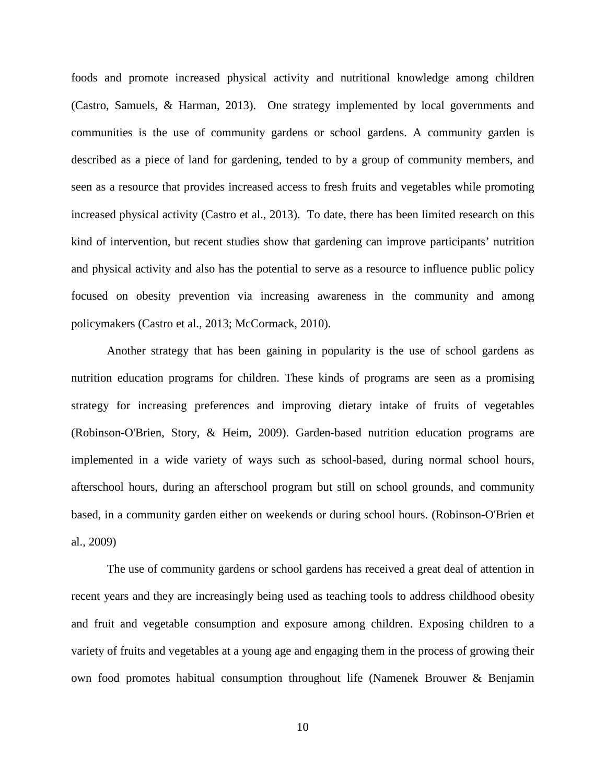foods and promote increased physical activity and nutritional knowledge among children (Castro, Samuels, & Harman, 2013). One strategy implemented by local governments and communities is the use of community gardens or school gardens. A community garden is described as a piece of land for gardening, tended to by a group of community members, and seen as a resource that provides increased access to fresh fruits and vegetables while promoting increased physical activity (Castro et al., 2013). To date, there has been limited research on this kind of intervention, but recent studies show that gardening can improve participants' nutrition and physical activity and also has the potential to serve as a resource to influence public policy focused on obesity prevention via increasing awareness in the community and among policymakers (Castro et al., 2013; McCormack, 2010).

Another strategy that has been gaining in popularity is the use of school gardens as nutrition education programs for children. These kinds of programs are seen as a promising strategy for increasing preferences and improving dietary intake of fruits of vegetables (Robinson-O'Brien, Story, & Heim, 2009). Garden-based nutrition education programs are implemented in a wide variety of ways such as school-based, during normal school hours, afterschool hours, during an afterschool program but still on school grounds, and community based, in a community garden either on weekends or during school hours. (Robinson-O'Brien et al., 2009)

The use of community gardens or school gardens has received a great deal of attention in recent years and they are increasingly being used as teaching tools to address childhood obesity and fruit and vegetable consumption and exposure among children. Exposing children to a variety of fruits and vegetables at a young age and engaging them in the process of growing their own food promotes habitual consumption throughout life (Namenek Brouwer & Benjamin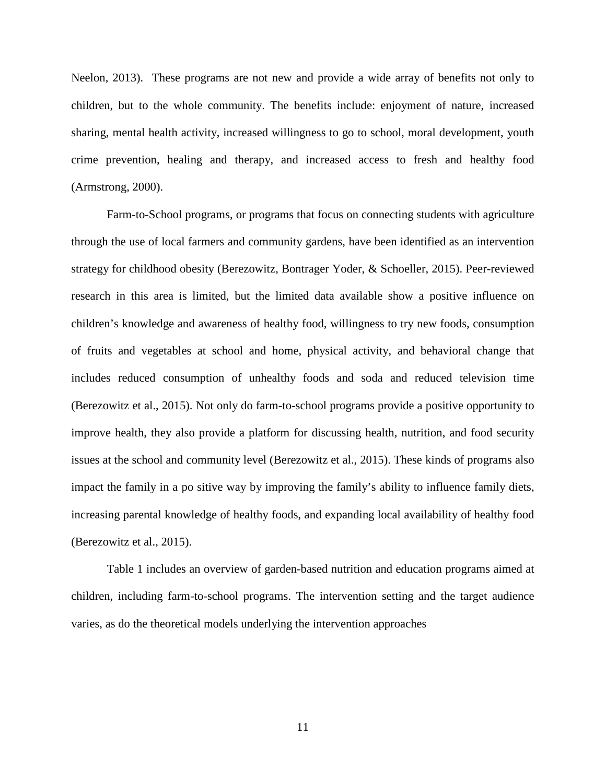Neelon, 2013). These programs are not new and provide a wide array of benefits not only to children, but to the whole community. The benefits include: enjoyment of nature, increased sharing, mental health activity, increased willingness to go to school, moral development, youth crime prevention, healing and therapy, and increased access to fresh and healthy food (Armstrong, 2000).

Farm-to-School programs, or programs that focus on connecting students with agriculture through the use of local farmers and community gardens, have been identified as an intervention strategy for childhood obesity (Berezowitz, Bontrager Yoder, & Schoeller, 2015). Peer-reviewed research in this area is limited, but the limited data available show a positive influence on children's knowledge and awareness of healthy food, willingness to try new foods, consumption of fruits and vegetables at school and home, physical activity, and behavioral change that includes reduced consumption of unhealthy foods and soda and reduced television time (Berezowitz et al., 2015). Not only do farm-to-school programs provide a positive opportunity to improve health, they also provide a platform for discussing health, nutrition, and food security issues at the school and community level (Berezowitz et al., 2015). These kinds of programs also impact the family in a po sitive way by improving the family's ability to influence family diets, increasing parental knowledge of healthy foods, and expanding local availability of healthy food (Berezowitz et al., 2015).

Table 1 includes an overview of garden-based nutrition and education programs aimed at children, including farm-to-school programs. The intervention setting and the target audience varies, as do the theoretical models underlying the intervention approaches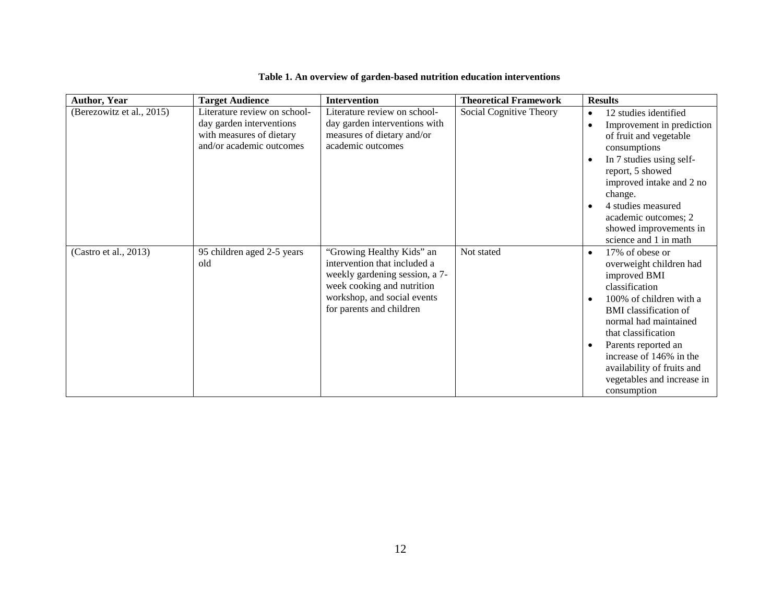<span id="page-18-0"></span>

| <b>Author, Year</b>       | <b>Target Audience</b>                                                                                           | Intervention                                                                                                                                                                         | <b>Theoretical Framework</b> | <b>Results</b>                                                                                                                                                                                                                                                                                                                                              |
|---------------------------|------------------------------------------------------------------------------------------------------------------|--------------------------------------------------------------------------------------------------------------------------------------------------------------------------------------|------------------------------|-------------------------------------------------------------------------------------------------------------------------------------------------------------------------------------------------------------------------------------------------------------------------------------------------------------------------------------------------------------|
| (Berezowitz et al., 2015) | Literature review on school-<br>day garden interventions<br>with measures of dietary<br>and/or academic outcomes | Literature review on school-<br>day garden interventions with<br>measures of dietary and/or<br>academic outcomes                                                                     | Social Cognitive Theory      | 12 studies identified<br>$\bullet$<br>Improvement in prediction<br>$\bullet$<br>of fruit and vegetable<br>consumptions<br>In 7 studies using self-<br>$\bullet$<br>report, 5 showed<br>improved intake and 2 no<br>change.<br>4 studies measured<br>$\bullet$<br>academic outcomes; 2<br>showed improvements in<br>science and 1 in math                    |
| (Castro et al., 2013)     | 95 children aged 2-5 years<br>old                                                                                | "Growing Healthy Kids" an<br>intervention that included a<br>weekly gardening session, a 7-<br>week cooking and nutrition<br>workshop, and social events<br>for parents and children | Not stated                   | 17% of obese or<br>$\bullet$<br>overweight children had<br>improved BMI<br>classification<br>100% of children with a<br>$\bullet$<br><b>BMI</b> classification of<br>normal had maintained<br>that classification<br>Parents reported an<br>$\bullet$<br>increase of 146% in the<br>availability of fruits and<br>vegetables and increase in<br>consumption |

# **Table 1. An overview of garden-based nutrition education interventions**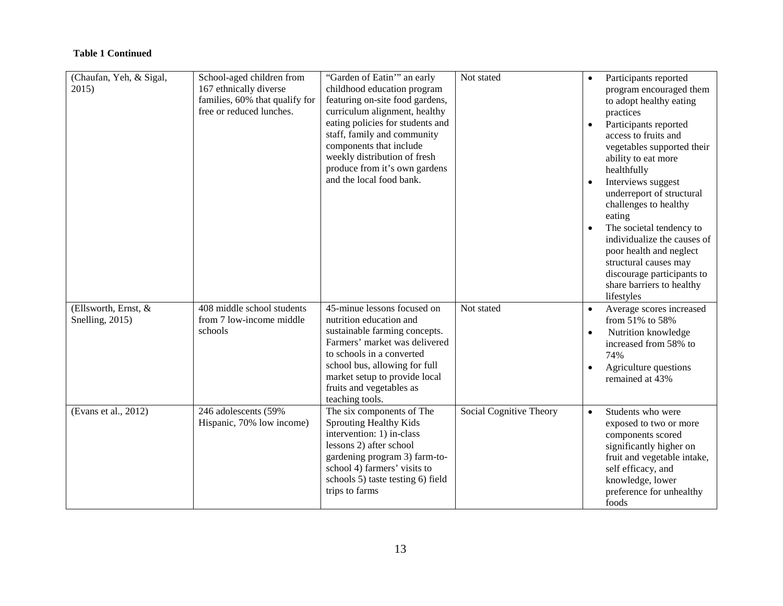| (Chaufan, Yeh, & Sigal,<br>2015)        | School-aged children from<br>167 ethnically diverse<br>families, 60% that qualify for<br>free or reduced lunches. | "Garden of Eatin"" an early<br>childhood education program<br>featuring on-site food gardens,<br>curriculum alignment, healthy<br>eating policies for students and<br>staff, family and community<br>components that include<br>weekly distribution of fresh<br>produce from it's own gardens<br>and the local food bank. | Not stated              | $\bullet$<br>$\bullet$<br>$\bullet$ | Participants reported<br>program encouraged them<br>to adopt healthy eating<br>practices<br>Participants reported<br>access to fruits and<br>vegetables supported their<br>ability to eat more<br>healthfully<br>Interviews suggest<br>underreport of structural<br>challenges to healthy<br>eating<br>The societal tendency to<br>individualize the causes of<br>poor health and neglect<br>structural causes may<br>discourage participants to<br>share barriers to healthy<br>lifestyles |
|-----------------------------------------|-------------------------------------------------------------------------------------------------------------------|---------------------------------------------------------------------------------------------------------------------------------------------------------------------------------------------------------------------------------------------------------------------------------------------------------------------------|-------------------------|-------------------------------------|---------------------------------------------------------------------------------------------------------------------------------------------------------------------------------------------------------------------------------------------------------------------------------------------------------------------------------------------------------------------------------------------------------------------------------------------------------------------------------------------|
| (Ellsworth, Ernst, &<br>Snelling, 2015) | 408 middle school students<br>from 7 low-income middle<br>schools                                                 | 45-minue lessons focused on<br>nutrition education and<br>sustainable farming concepts.<br>Farmers' market was delivered<br>to schools in a converted<br>school bus, allowing for full<br>market setup to provide local<br>fruits and vegetables as<br>teaching tools.                                                    | Not stated              | $\bullet$<br>$\bullet$              | Average scores increased<br>from 51% to 58%<br>Nutrition knowledge<br>increased from 58% to<br>74%<br>Agriculture questions<br>remained at 43%                                                                                                                                                                                                                                                                                                                                              |
| (Evans et al., 2012)                    | 246 adolescents (59%<br>Hispanic, 70% low income)                                                                 | The six components of The<br>Sprouting Healthy Kids<br>intervention: 1) in-class<br>lessons 2) after school<br>gardening program 3) farm-to-<br>school 4) farmers' visits to<br>schools 5) taste testing 6) field<br>trips to farms                                                                                       | Social Cognitive Theory | $\bullet$                           | Students who were<br>exposed to two or more<br>components scored<br>significantly higher on<br>fruit and vegetable intake,<br>self efficacy, and<br>knowledge, lower<br>preference for unhealthy<br>foods                                                                                                                                                                                                                                                                                   |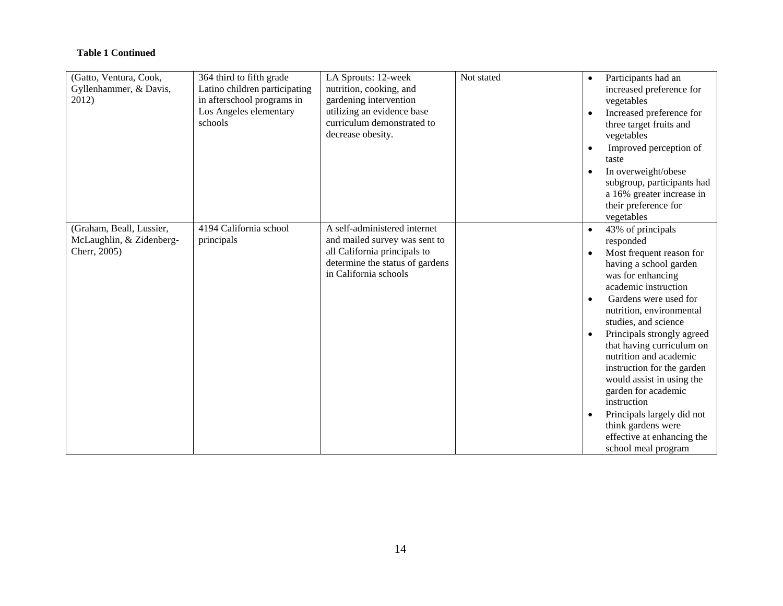| (Gatto, Ventura, Cook,<br>Gyllenhammer, & Davis,<br>2012)            | 364 third to fifth grade<br>Latino children participating<br>in afterschool programs in<br>Los Angeles elementary<br>schools | LA Sprouts: 12-week<br>nutrition, cooking, and<br>gardening intervention<br>utilizing an evidence base<br>curriculum demonstrated to<br>decrease obesity. | Not stated | $\bullet$<br>$\bullet$<br>$\bullet$<br>$\bullet$              | Participants had an<br>increased preference for<br>vegetables<br>Increased preference for<br>three target fruits and<br>vegetables<br>Improved perception of<br>taste<br>In overweight/obese<br>subgroup, participants had<br>a 16% greater increase in<br>their preference for<br>vegetables                                                                                                                                                                                                                 |
|----------------------------------------------------------------------|------------------------------------------------------------------------------------------------------------------------------|-----------------------------------------------------------------------------------------------------------------------------------------------------------|------------|---------------------------------------------------------------|---------------------------------------------------------------------------------------------------------------------------------------------------------------------------------------------------------------------------------------------------------------------------------------------------------------------------------------------------------------------------------------------------------------------------------------------------------------------------------------------------------------|
| (Graham, Beall, Lussier,<br>McLaughlin, & Zidenberg-<br>Cherr, 2005) | 4194 California school<br>principals                                                                                         | A self-administered internet<br>and mailed survey was sent to<br>all California principals to<br>determine the status of gardens<br>in California schools |            | $\bullet$<br>$\bullet$<br>$\bullet$<br>$\bullet$<br>$\bullet$ | 43% of principals<br>responded<br>Most frequent reason for<br>having a school garden<br>was for enhancing<br>academic instruction<br>Gardens were used for<br>nutrition, environmental<br>studies, and science<br>Principals strongly agreed<br>that having curriculum on<br>nutrition and academic<br>instruction for the garden<br>would assist in using the<br>garden for academic<br>instruction<br>Principals largely did not<br>think gardens were<br>effective at enhancing the<br>school meal program |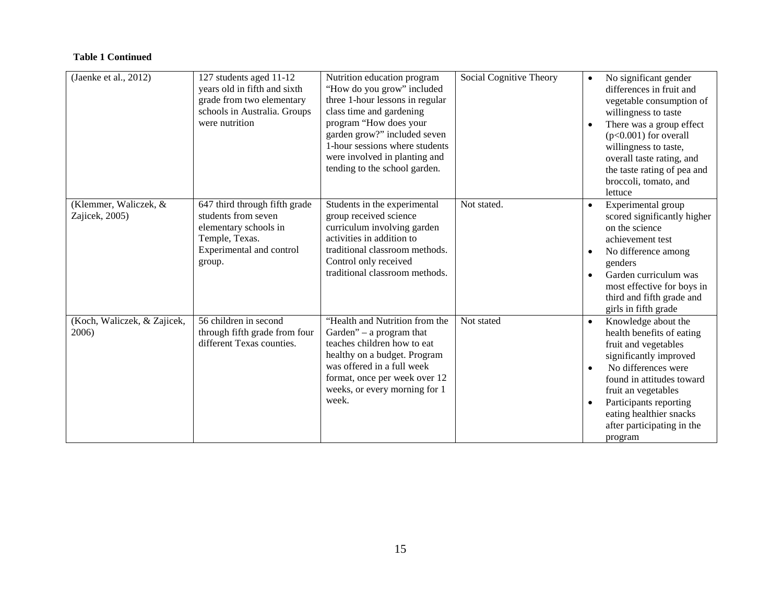| (Jaenke et al., 2012)                   | 127 students aged 11-12<br>years old in fifth and sixth<br>grade from two elementary<br>schools in Australia. Groups<br>were nutrition | Nutrition education program<br>"How do you grow" included<br>three 1-hour lessons in regular<br>class time and gardening<br>program "How does your<br>garden grow?" included seven<br>1-hour sessions where students<br>were involved in planting and<br>tending to the school garden. | Social Cognitive Theory | $\bullet$<br>٠                      | No significant gender<br>differences in fruit and<br>vegetable consumption of<br>willingness to taste<br>There was a group effect<br>$(p<0.001)$ for overall<br>willingness to taste,<br>overall taste rating, and<br>the taste rating of pea and<br>broccoli, tomato, and<br>lettuce |
|-----------------------------------------|----------------------------------------------------------------------------------------------------------------------------------------|----------------------------------------------------------------------------------------------------------------------------------------------------------------------------------------------------------------------------------------------------------------------------------------|-------------------------|-------------------------------------|---------------------------------------------------------------------------------------------------------------------------------------------------------------------------------------------------------------------------------------------------------------------------------------|
| (Klemmer, Waliczek, &<br>Zajicek, 2005) | 647 third through fifth grade<br>students from seven<br>elementary schools in<br>Temple, Texas.<br>Experimental and control<br>group.  | Students in the experimental<br>group received science<br>curriculum involving garden<br>activities in addition to<br>traditional classroom methods.<br>Control only received<br>traditional classroom methods.                                                                        | Not stated.             | $\bullet$<br>$\bullet$<br>$\bullet$ | Experimental group<br>scored significantly higher<br>on the science<br>achievement test<br>No difference among<br>genders<br>Garden curriculum was<br>most effective for boys in<br>third and fifth grade and<br>girls in fifth grade                                                 |
| (Koch, Waliczek, & Zajicek,<br>2006)    | 56 children in second<br>through fifth grade from four<br>different Texas counties.                                                    | "Health and Nutrition from the<br>Garden" $-$ a program that<br>teaches children how to eat<br>healthy on a budget. Program<br>was offered in a full week<br>format, once per week over 12<br>weeks, or every morning for 1<br>week.                                                   | Not stated              | $\bullet$<br>$\bullet$              | Knowledge about the<br>health benefits of eating<br>fruit and vegetables<br>significantly improved<br>No differences were<br>found in attitudes toward<br>fruit an vegetables<br>Participants reporting<br>eating healthier snacks<br>after participating in the<br>program           |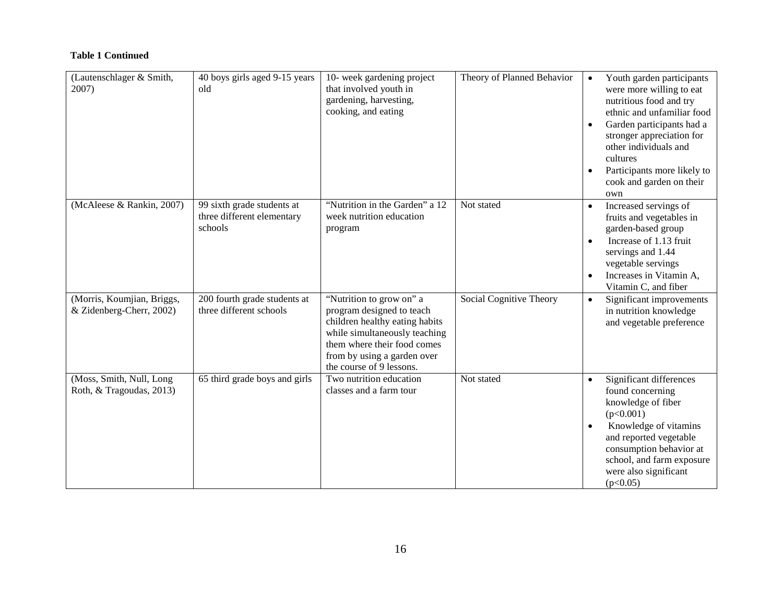| (Lautenschlager & Smith,<br>2007)                      | 40 boys girls aged 9-15 years<br>old                                | 10- week gardening project<br>that involved youth in<br>gardening, harvesting,<br>cooking, and eating                                                                                                              | Theory of Planned Behavior | $\bullet$<br>$\bullet$<br>$\bullet$ | Youth garden participants<br>were more willing to eat<br>nutritious food and try<br>ethnic and unfamiliar food<br>Garden participants had a<br>stronger appreciation for<br>other individuals and<br>cultures<br>Participants more likely to<br>cook and garden on their<br>own |
|--------------------------------------------------------|---------------------------------------------------------------------|--------------------------------------------------------------------------------------------------------------------------------------------------------------------------------------------------------------------|----------------------------|-------------------------------------|---------------------------------------------------------------------------------------------------------------------------------------------------------------------------------------------------------------------------------------------------------------------------------|
| (McAleese & Rankin, 2007)                              | 99 sixth grade students at<br>three different elementary<br>schools | "Nutrition in the Garden" a 12<br>week nutrition education<br>program                                                                                                                                              | Not stated                 | $\bullet$<br>$\bullet$<br>$\bullet$ | Increased servings of<br>fruits and vegetables in<br>garden-based group<br>Increase of 1.13 fruit<br>servings and 1.44<br>vegetable servings<br>Increases in Vitamin A,<br>Vitamin C, and fiber                                                                                 |
| (Morris, Koumjian, Briggs,<br>& Zidenberg-Cherr, 2002) | 200 fourth grade students at<br>three different schools             | "Nutrition to grow on" a<br>program designed to teach<br>children healthy eating habits<br>while simultaneously teaching<br>them where their food comes<br>from by using a garden over<br>the course of 9 lessons. | Social Cognitive Theory    | $\bullet$                           | Significant improvements<br>in nutrition knowledge<br>and vegetable preference                                                                                                                                                                                                  |
| (Moss, Smith, Null, Long<br>Roth, & Tragoudas, 2013)   | 65 third grade boys and girls                                       | Two nutrition education<br>classes and a farm tour                                                                                                                                                                 | Not stated                 | $\bullet$<br>$\bullet$              | Significant differences<br>found concerning<br>knowledge of fiber<br>(p<0.001)<br>Knowledge of vitamins<br>and reported vegetable<br>consumption behavior at<br>school, and farm exposure<br>were also significant<br>(p<0.05)                                                  |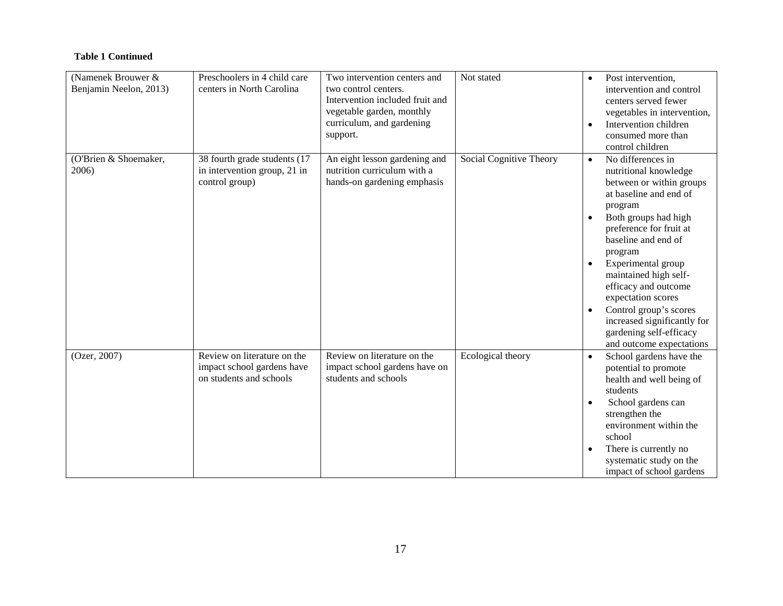| (Namenek Brouwer &     | Preschoolers in 4 child care | Two intervention centers and    | Not stated              | $\bullet$ | Post intervention,          |
|------------------------|------------------------------|---------------------------------|-------------------------|-----------|-----------------------------|
| Benjamin Neelon, 2013) | centers in North Carolina    | two control centers.            |                         |           | intervention and control    |
|                        |                              | Intervention included fruit and |                         |           | centers served fewer        |
|                        |                              | vegetable garden, monthly       |                         |           | vegetables in intervention, |
|                        |                              | curriculum, and gardening       |                         | $\bullet$ | Intervention children       |
|                        |                              | support.                        |                         |           | consumed more than          |
|                        |                              |                                 |                         |           | control children            |
| (O'Brien & Shoemaker,  | 38 fourth grade students (17 | An eight lesson gardening and   | Social Cognitive Theory | $\bullet$ | No differences in           |
| 2006)                  | in intervention group, 21 in | nutrition curriculum with a     |                         |           | nutritional knowledge       |
|                        | control group)               | hands-on gardening emphasis     |                         |           | between or within groups    |
|                        |                              |                                 |                         |           | at baseline and end of      |
|                        |                              |                                 |                         |           | program                     |
|                        |                              |                                 |                         | $\bullet$ | Both groups had high        |
|                        |                              |                                 |                         |           | preference for fruit at     |
|                        |                              |                                 |                         |           | baseline and end of         |
|                        |                              |                                 |                         |           | program                     |
|                        |                              |                                 |                         | $\bullet$ | Experimental group          |
|                        |                              |                                 |                         |           | maintained high self-       |
|                        |                              |                                 |                         |           | efficacy and outcome        |
|                        |                              |                                 |                         |           | expectation scores          |
|                        |                              |                                 |                         |           |                             |
|                        |                              |                                 |                         | $\bullet$ | Control group's scores      |
|                        |                              |                                 |                         |           | increased significantly for |
|                        |                              |                                 |                         |           | gardening self-efficacy     |
|                        |                              |                                 |                         |           | and outcome expectations    |
| (Ozer, 2007)           | Review on literature on the  | Review on literature on the     | Ecological theory       | $\bullet$ | School gardens have the     |
|                        | impact school gardens have   | impact school gardens have on   |                         |           | potential to promote        |
|                        | on students and schools      | students and schools            |                         |           | health and well being of    |
|                        |                              |                                 |                         |           | students                    |
|                        |                              |                                 |                         | $\bullet$ | School gardens can          |
|                        |                              |                                 |                         |           | strengthen the              |
|                        |                              |                                 |                         |           | environment within the      |
|                        |                              |                                 |                         |           | school                      |
|                        |                              |                                 |                         | $\bullet$ | There is currently no       |
|                        |                              |                                 |                         |           | systematic study on the     |
|                        |                              |                                 |                         |           | impact of school gardens    |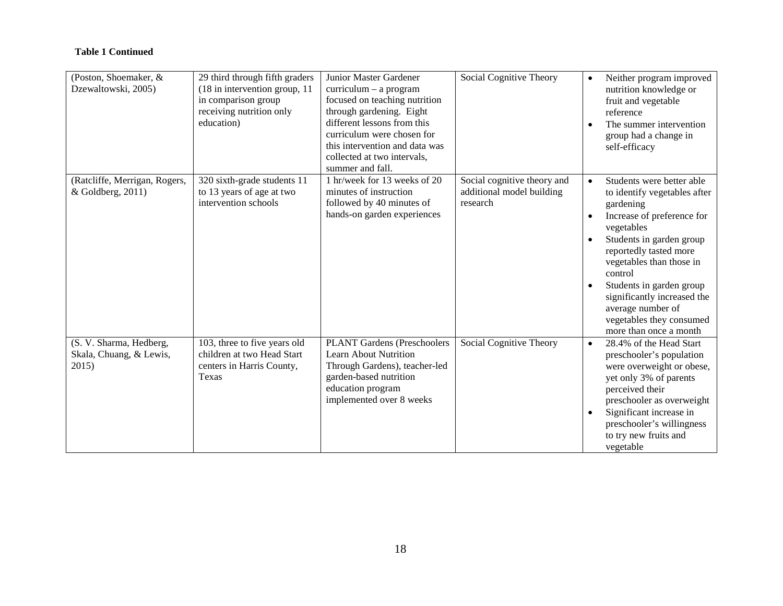| (Poston, Shoemaker, &<br>Dzewaltowski, 2005)                | 29 third through fifth graders<br>$(18$ in intervention group, 11<br>in comparison group<br>receiving nutrition only<br>education) | Junior Master Gardener<br>$curriculum - a program$<br>focused on teaching nutrition<br>through gardening. Eight<br>different lessons from this<br>curriculum were chosen for<br>this intervention and data was<br>collected at two intervals.<br>summer and fall. | Social Cognitive Theory                                              | $\bullet$ | Neither program improved<br>nutrition knowledge or<br>fruit and vegetable<br>reference<br>The summer intervention<br>group had a change in<br>self-efficacy                                                                                                                                                                                           |
|-------------------------------------------------------------|------------------------------------------------------------------------------------------------------------------------------------|-------------------------------------------------------------------------------------------------------------------------------------------------------------------------------------------------------------------------------------------------------------------|----------------------------------------------------------------------|-----------|-------------------------------------------------------------------------------------------------------------------------------------------------------------------------------------------------------------------------------------------------------------------------------------------------------------------------------------------------------|
| (Ratcliffe, Merrigan, Rogers,<br>& Goldberg, 2011)          | 320 sixth-grade students 11<br>to 13 years of age at two<br>intervention schools                                                   | 1 hr/week for 13 weeks of 20<br>minutes of instruction<br>followed by 40 minutes of<br>hands-on garden experiences                                                                                                                                                | Social cognitive theory and<br>additional model building<br>research | $\bullet$ | Students were better able<br>to identify vegetables after<br>gardening<br>Increase of preference for<br>vegetables<br>Students in garden group<br>reportedly tasted more<br>vegetables than those in<br>control<br>Students in garden group<br>significantly increased the<br>average number of<br>vegetables they consumed<br>more than once a month |
| (S. V. Sharma, Hedberg,<br>Skala, Chuang, & Lewis,<br>2015) | 103, three to five years old<br>children at two Head Start<br>centers in Harris County,<br>Texas                                   | <b>PLANT Gardens (Preschoolers</b><br>Learn About Nutrition<br>Through Gardens), teacher-led<br>garden-based nutrition<br>education program<br>implemented over 8 weeks                                                                                           | Social Cognitive Theory                                              | $\bullet$ | 28.4% of the Head Start<br>preschooler's population<br>were overweight or obese,<br>yet only 3% of parents<br>perceived their<br>preschooler as overweight<br>Significant increase in<br>preschooler's willingness<br>to try new fruits and<br>vegetable                                                                                              |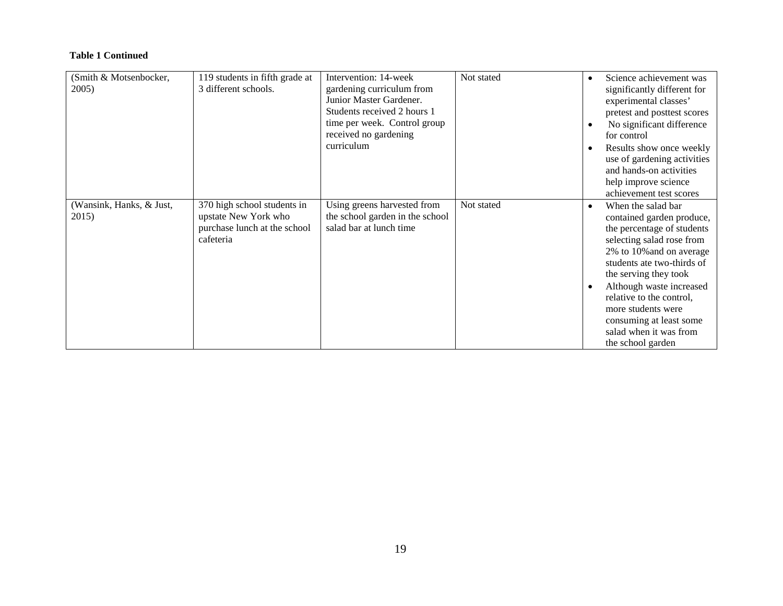| (Smith & Motsenbocker,<br>2005)   | 119 students in fifth grade at<br>3 different schools.                                           | Intervention: 14-week<br>gardening curriculum from<br>Junior Master Gardener.<br>Students received 2 hours 1<br>time per week. Control group<br>received no gardening<br>curriculum | Not stated | $\bullet$<br>$\bullet$<br>٠ | Science achievement was<br>significantly different for<br>experimental classes'<br>pretest and posttest scores<br>No significant difference<br>for control<br>Results show once weekly                                                                                                                                                                |
|-----------------------------------|--------------------------------------------------------------------------------------------------|-------------------------------------------------------------------------------------------------------------------------------------------------------------------------------------|------------|-----------------------------|-------------------------------------------------------------------------------------------------------------------------------------------------------------------------------------------------------------------------------------------------------------------------------------------------------------------------------------------------------|
|                                   |                                                                                                  |                                                                                                                                                                                     |            |                             | use of gardening activities<br>and hands-on activities<br>help improve science<br>achievement test scores                                                                                                                                                                                                                                             |
| (Wansink, Hanks, & Just,<br>2015) | 370 high school students in<br>upstate New York who<br>purchase lunch at the school<br>cafeteria | Using greens harvested from<br>the school garden in the school<br>salad bar at lunch time                                                                                           | Not stated | $\bullet$<br>$\bullet$      | When the salad bar<br>contained garden produce,<br>the percentage of students<br>selecting salad rose from<br>2% to 10% and on average<br>students ate two-thirds of<br>the serving they took<br>Although waste increased<br>relative to the control,<br>more students were<br>consuming at least some<br>salad when it was from<br>the school garden |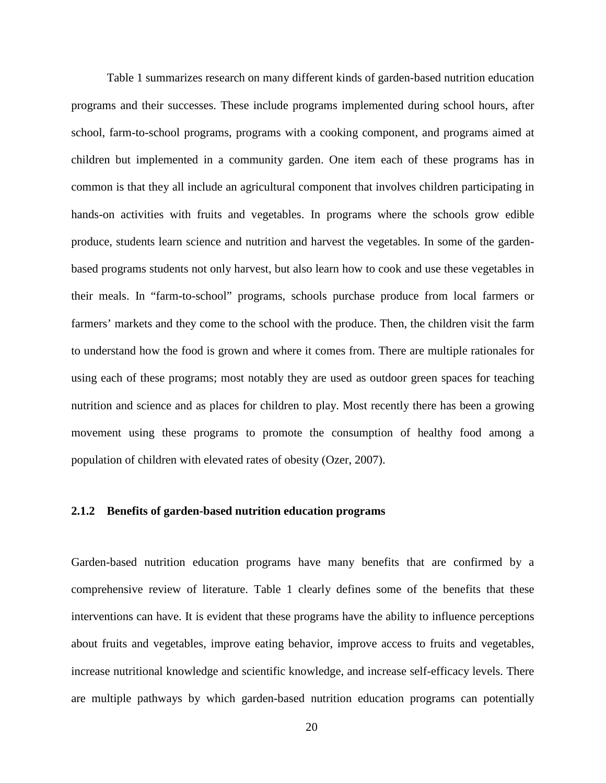Table 1 summarizes research on many different kinds of garden-based nutrition education programs and their successes. These include programs implemented during school hours, after school, farm-to-school programs, programs with a cooking component, and programs aimed at children but implemented in a community garden. One item each of these programs has in common is that they all include an agricultural component that involves children participating in hands-on activities with fruits and vegetables. In programs where the schools grow edible produce, students learn science and nutrition and harvest the vegetables. In some of the gardenbased programs students not only harvest, but also learn how to cook and use these vegetables in their meals. In "farm-to-school" programs, schools purchase produce from local farmers or farmers' markets and they come to the school with the produce. Then, the children visit the farm to understand how the food is grown and where it comes from. There are multiple rationales for using each of these programs; most notably they are used as outdoor green spaces for teaching nutrition and science and as places for children to play. Most recently there has been a growing movement using these programs to promote the consumption of healthy food among a population of children with elevated rates of obesity (Ozer, 2007).

#### <span id="page-26-0"></span>**2.1.2 Benefits of garden-based nutrition education programs**

Garden-based nutrition education programs have many benefits that are confirmed by a comprehensive review of literature. Table 1 clearly defines some of the benefits that these interventions can have. It is evident that these programs have the ability to influence perceptions about fruits and vegetables, improve eating behavior, improve access to fruits and vegetables, increase nutritional knowledge and scientific knowledge, and increase self-efficacy levels. There are multiple pathways by which garden-based nutrition education programs can potentially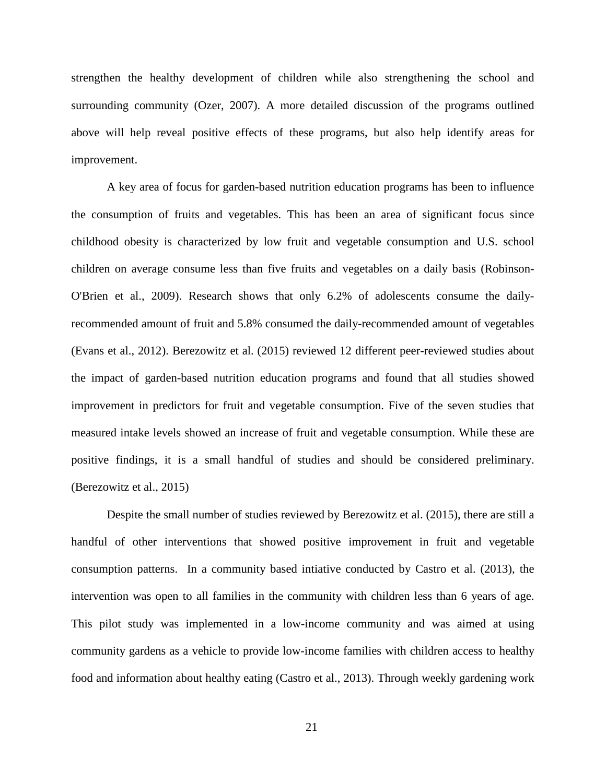strengthen the healthy development of children while also strengthening the school and surrounding community (Ozer, 2007). A more detailed discussion of the programs outlined above will help reveal positive effects of these programs, but also help identify areas for improvement.

A key area of focus for garden-based nutrition education programs has been to influence the consumption of fruits and vegetables. This has been an area of significant focus since childhood obesity is characterized by low fruit and vegetable consumption and U.S. school children on average consume less than five fruits and vegetables on a daily basis (Robinson-O'Brien et al., 2009). Research shows that only 6.2% of adolescents consume the dailyrecommended amount of fruit and 5.8% consumed the daily-recommended amount of vegetables (Evans et al., 2012). Berezowitz et al. (2015) reviewed 12 different peer-reviewed studies about the impact of garden-based nutrition education programs and found that all studies showed improvement in predictors for fruit and vegetable consumption. Five of the seven studies that measured intake levels showed an increase of fruit and vegetable consumption. While these are positive findings, it is a small handful of studies and should be considered preliminary. (Berezowitz et al., 2015)

Despite the small number of studies reviewed by Berezowitz et al. (2015), there are still a handful of other interventions that showed positive improvement in fruit and vegetable consumption patterns. In a community based intiative conducted by Castro et al. (2013), the intervention was open to all families in the community with children less than 6 years of age. This pilot study was implemented in a low-income community and was aimed at using community gardens as a vehicle to provide low-income families with children access to healthy food and information about healthy eating (Castro et al., 2013). Through weekly gardening work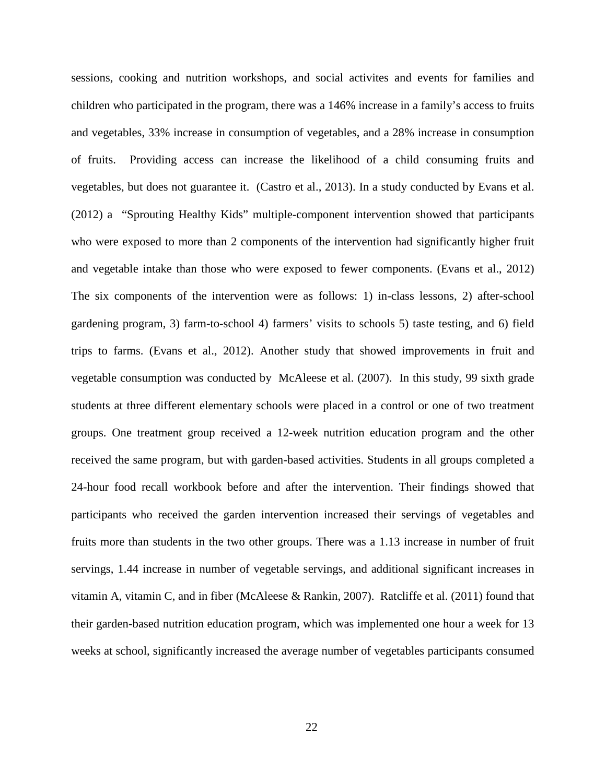sessions, cooking and nutrition workshops, and social activites and events for families and children who participated in the program, there was a 146% increase in a family's access to fruits and vegetables, 33% increase in consumption of vegetables, and a 28% increase in consumption of fruits. Providing access can increase the likelihood of a child consuming fruits and vegetables, but does not guarantee it. (Castro et al., 2013). In a study conducted by Evans et al. (2012) a "Sprouting Healthy Kids" multiple-component intervention showed that participants who were exposed to more than 2 components of the intervention had significantly higher fruit and vegetable intake than those who were exposed to fewer components. (Evans et al., 2012) The six components of the intervention were as follows: 1) in-class lessons, 2) after-school gardening program, 3) farm-to-school 4) farmers' visits to schools 5) taste testing, and 6) field trips to farms. (Evans et al., 2012). Another study that showed improvements in fruit and vegetable consumption was conducted by McAleese et al. (2007). In this study, 99 sixth grade students at three different elementary schools were placed in a control or one of two treatment groups. One treatment group received a 12-week nutrition education program and the other received the same program, but with garden-based activities. Students in all groups completed a 24-hour food recall workbook before and after the intervention. Their findings showed that participants who received the garden intervention increased their servings of vegetables and fruits more than students in the two other groups. There was a 1.13 increase in number of fruit servings, 1.44 increase in number of vegetable servings, and additional significant increases in vitamin A, vitamin C, and in fiber (McAleese & Rankin, 2007). Ratcliffe et al. (2011) found that their garden-based nutrition education program, which was implemented one hour a week for 13 weeks at school, significantly increased the average number of vegetables participants consumed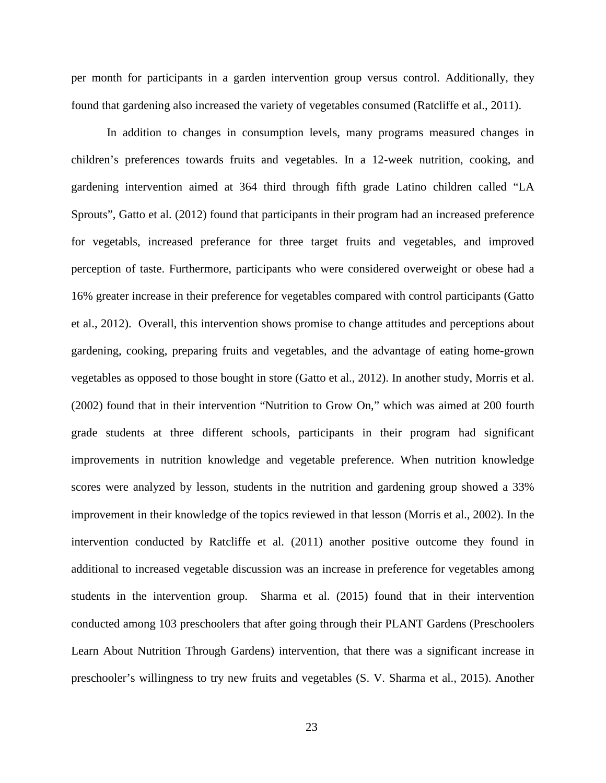per month for participants in a garden intervention group versus control. Additionally, they found that gardening also increased the variety of vegetables consumed (Ratcliffe et al., 2011).

In addition to changes in consumption levels, many programs measured changes in children's preferences towards fruits and vegetables. In a 12-week nutrition, cooking, and gardening intervention aimed at 364 third through fifth grade Latino children called "LA Sprouts", Gatto et al. (2012) found that participants in their program had an increased preference for vegetabls, increased preferance for three target fruits and vegetables, and improved perception of taste. Furthermore, participants who were considered overweight or obese had a 16% greater increase in their preference for vegetables compared with control participants (Gatto et al., 2012). Overall, this intervention shows promise to change attitudes and perceptions about gardening, cooking, preparing fruits and vegetables, and the advantage of eating home-grown vegetables as opposed to those bought in store (Gatto et al., 2012). In another study, Morris et al. (2002) found that in their intervention "Nutrition to Grow On," which was aimed at 200 fourth grade students at three different schools, participants in their program had significant improvements in nutrition knowledge and vegetable preference. When nutrition knowledge scores were analyzed by lesson, students in the nutrition and gardening group showed a 33% improvement in their knowledge of the topics reviewed in that lesson (Morris et al., 2002). In the intervention conducted by Ratcliffe et al. (2011) another positive outcome they found in additional to increased vegetable discussion was an increase in preference for vegetables among students in the intervention group. Sharma et al. (2015) found that in their intervention conducted among 103 preschoolers that after going through their PLANT Gardens (Preschoolers Learn About Nutrition Through Gardens) intervention, that there was a significant increase in preschooler's willingness to try new fruits and vegetables (S. V. Sharma et al., 2015). Another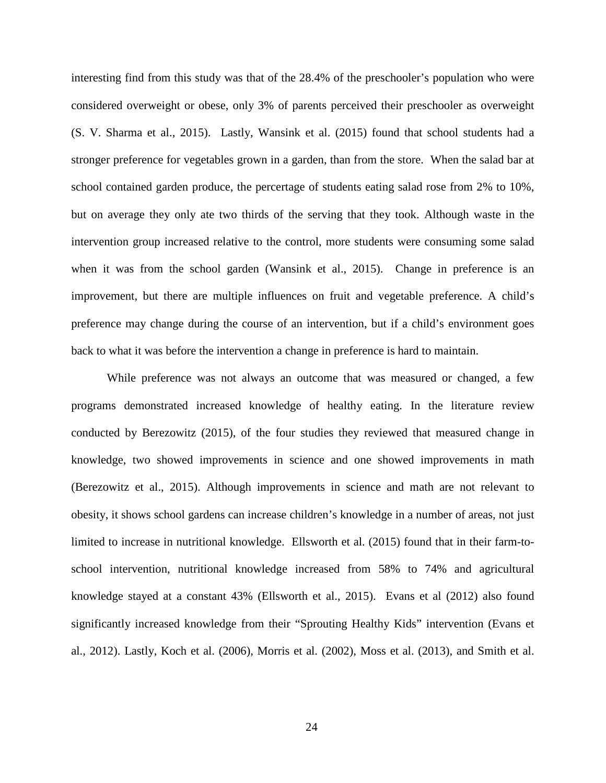interesting find from this study was that of the 28.4% of the preschooler's population who were considered overweight or obese, only 3% of parents perceived their preschooler as overweight (S. V. Sharma et al., 2015). Lastly, Wansink et al. (2015) found that school students had a stronger preference for vegetables grown in a garden, than from the store. When the salad bar at school contained garden produce, the percertage of students eating salad rose from 2% to 10%, but on average they only ate two thirds of the serving that they took. Although waste in the intervention group increased relative to the control, more students were consuming some salad when it was from the school garden (Wansink et al., 2015). Change in preference is an improvement, but there are multiple influences on fruit and vegetable preference. A child's preference may change during the course of an intervention, but if a child's environment goes back to what it was before the intervention a change in preference is hard to maintain.

While preference was not always an outcome that was measured or changed, a few programs demonstrated increased knowledge of healthy eating. In the literature review conducted by Berezowitz (2015), of the four studies they reviewed that measured change in knowledge, two showed improvements in science and one showed improvements in math (Berezowitz et al., 2015). Although improvements in science and math are not relevant to obesity, it shows school gardens can increase children's knowledge in a number of areas, not just limited to increase in nutritional knowledge. Ellsworth et al. (2015) found that in their farm-toschool intervention, nutritional knowledge increased from 58% to 74% and agricultural knowledge stayed at a constant 43% (Ellsworth et al., 2015). Evans et al (2012) also found significantly increased knowledge from their "Sprouting Healthy Kids" intervention (Evans et al., 2012). Lastly, Koch et al. (2006), Morris et al. (2002), Moss et al. (2013), and Smith et al.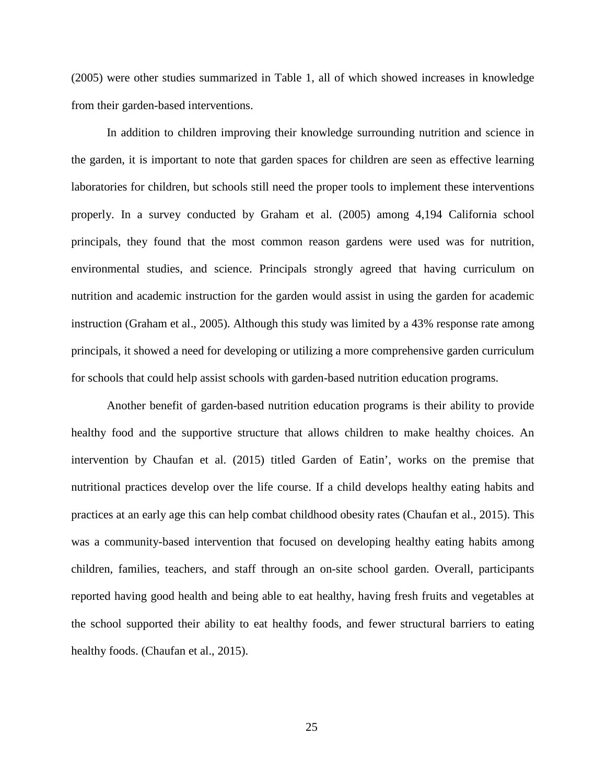(2005) were other studies summarized in Table 1, all of which showed increases in knowledge from their garden-based interventions.

In addition to children improving their knowledge surrounding nutrition and science in the garden, it is important to note that garden spaces for children are seen as effective learning laboratories for children, but schools still need the proper tools to implement these interventions properly. In a survey conducted by Graham et al. (2005) among 4,194 California school principals, they found that the most common reason gardens were used was for nutrition, environmental studies, and science. Principals strongly agreed that having curriculum on nutrition and academic instruction for the garden would assist in using the garden for academic instruction (Graham et al., 2005). Although this study was limited by a 43% response rate among principals, it showed a need for developing or utilizing a more comprehensive garden curriculum for schools that could help assist schools with garden-based nutrition education programs.

Another benefit of garden-based nutrition education programs is their ability to provide healthy food and the supportive structure that allows children to make healthy choices. An intervention by Chaufan et al. (2015) titled Garden of Eatin', works on the premise that nutritional practices develop over the life course. If a child develops healthy eating habits and practices at an early age this can help combat childhood obesity rates (Chaufan et al., 2015). This was a community-based intervention that focused on developing healthy eating habits among children, families, teachers, and staff through an on-site school garden. Overall, participants reported having good health and being able to eat healthy, having fresh fruits and vegetables at the school supported their ability to eat healthy foods, and fewer structural barriers to eating healthy foods. (Chaufan et al., 2015).

25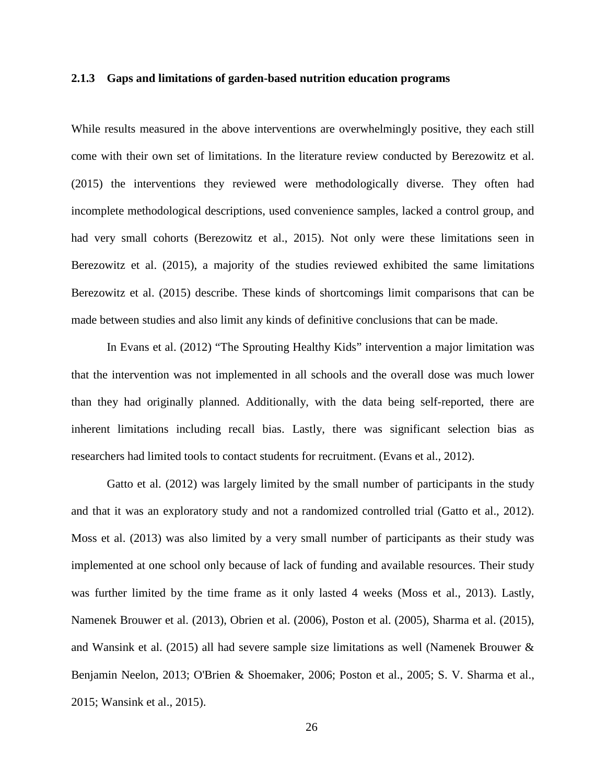#### <span id="page-32-0"></span>**2.1.3 Gaps and limitations of garden-based nutrition education programs**

While results measured in the above interventions are overwhelmingly positive, they each still come with their own set of limitations. In the literature review conducted by Berezowitz et al. (2015) the interventions they reviewed were methodologically diverse. They often had incomplete methodological descriptions, used convenience samples, lacked a control group, and had very small cohorts (Berezowitz et al., 2015). Not only were these limitations seen in Berezowitz et al. (2015), a majority of the studies reviewed exhibited the same limitations Berezowitz et al. (2015) describe. These kinds of shortcomings limit comparisons that can be made between studies and also limit any kinds of definitive conclusions that can be made.

In Evans et al. (2012) "The Sprouting Healthy Kids" intervention a major limitation was that the intervention was not implemented in all schools and the overall dose was much lower than they had originally planned. Additionally, with the data being self-reported, there are inherent limitations including recall bias. Lastly, there was significant selection bias as researchers had limited tools to contact students for recruitment. (Evans et al., 2012).

Gatto et al. (2012) was largely limited by the small number of participants in the study and that it was an exploratory study and not a randomized controlled trial (Gatto et al., 2012). Moss et al. (2013) was also limited by a very small number of participants as their study was implemented at one school only because of lack of funding and available resources. Their study was further limited by the time frame as it only lasted 4 weeks (Moss et al., 2013). Lastly, Namenek Brouwer et al. (2013), Obrien et al. (2006), Poston et al. (2005), Sharma et al. (2015), and Wansink et al. (2015) all had severe sample size limitations as well (Namenek Brouwer & Benjamin Neelon, 2013; O'Brien & Shoemaker, 2006; Poston et al., 2005; S. V. Sharma et al., 2015; Wansink et al., 2015).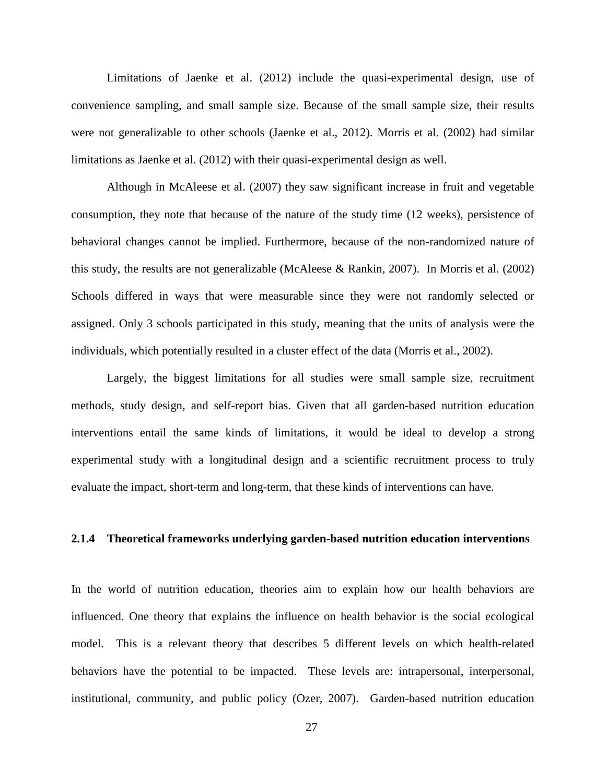Limitations of Jaenke et al. (2012) include the quasi-experimental design, use of convenience sampling, and small sample size. Because of the small sample size, their results were not generalizable to other schools (Jaenke et al., 2012). Morris et al. (2002) had similar limitations as Jaenke et al. (2012) with their quasi-experimental design as well.

Although in McAleese et al. (2007) they saw significant increase in fruit and vegetable consumption, they note that because of the nature of the study time (12 weeks), persistence of behavioral changes cannot be implied. Furthermore, because of the non-randomized nature of this study, the results are not generalizable (McAleese & Rankin, 2007). In Morris et al. (2002) Schools differed in ways that were measurable since they were not randomly selected or assigned. Only 3 schools participated in this study, meaning that the units of analysis were the individuals, which potentially resulted in a cluster effect of the data (Morris et al., 2002).

Largely, the biggest limitations for all studies were small sample size, recruitment methods, study design, and self-report bias. Given that all garden-based nutrition education interventions entail the same kinds of limitations, it would be ideal to develop a strong experimental study with a longitudinal design and a scientific recruitment process to truly evaluate the impact, short-term and long-term, that these kinds of interventions can have.

# <span id="page-33-0"></span>**2.1.4 Theoretical frameworks underlying garden-based nutrition education interventions**

In the world of nutrition education, theories aim to explain how our health behaviors are influenced. One theory that explains the influence on health behavior is the social ecological model. This is a relevant theory that describes 5 different levels on which health-related behaviors have the potential to be impacted. These levels are: intrapersonal, interpersonal, institutional, community, and public policy (Ozer, 2007). Garden-based nutrition education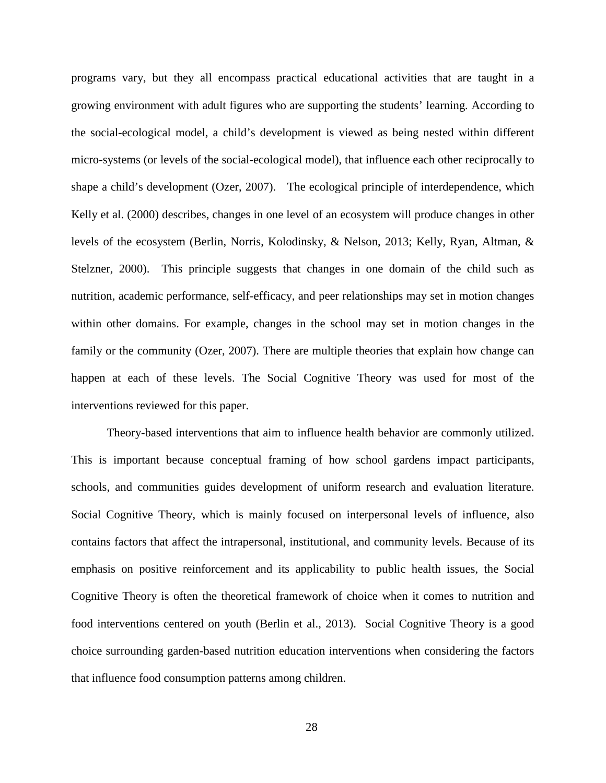programs vary, but they all encompass practical educational activities that are taught in a growing environment with adult figures who are supporting the students' learning. According to the social-ecological model, a child's development is viewed as being nested within different micro-systems (or levels of the social-ecological model), that influence each other reciprocally to shape a child's development (Ozer, 2007). The ecological principle of interdependence, which Kelly et al. (2000) describes, changes in one level of an ecosystem will produce changes in other levels of the ecosystem (Berlin, Norris, Kolodinsky, & Nelson, 2013; Kelly, Ryan, Altman, & Stelzner, 2000). This principle suggests that changes in one domain of the child such as nutrition, academic performance, self-efficacy, and peer relationships may set in motion changes within other domains. For example, changes in the school may set in motion changes in the family or the community (Ozer, 2007). There are multiple theories that explain how change can happen at each of these levels. The Social Cognitive Theory was used for most of the interventions reviewed for this paper.

Theory-based interventions that aim to influence health behavior are commonly utilized. This is important because conceptual framing of how school gardens impact participants, schools, and communities guides development of uniform research and evaluation literature. Social Cognitive Theory, which is mainly focused on interpersonal levels of influence, also contains factors that affect the intrapersonal, institutional, and community levels. Because of its emphasis on positive reinforcement and its applicability to public health issues, the Social Cognitive Theory is often the theoretical framework of choice when it comes to nutrition and food interventions centered on youth (Berlin et al., 2013). Social Cognitive Theory is a good choice surrounding garden-based nutrition education interventions when considering the factors that influence food consumption patterns among children.

28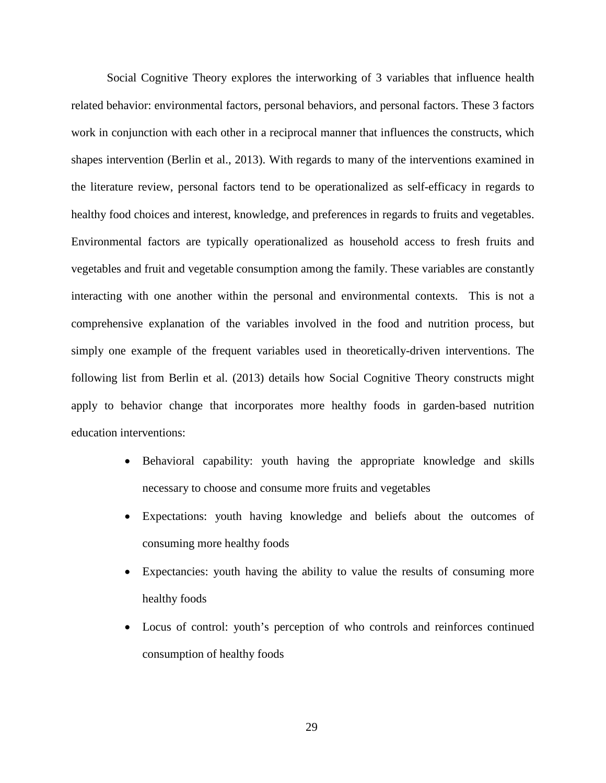Social Cognitive Theory explores the interworking of 3 variables that influence health related behavior: environmental factors, personal behaviors, and personal factors. These 3 factors work in conjunction with each other in a reciprocal manner that influences the constructs, which shapes intervention (Berlin et al., 2013). With regards to many of the interventions examined in the literature review, personal factors tend to be operationalized as self-efficacy in regards to healthy food choices and interest, knowledge, and preferences in regards to fruits and vegetables. Environmental factors are typically operationalized as household access to fresh fruits and vegetables and fruit and vegetable consumption among the family. These variables are constantly interacting with one another within the personal and environmental contexts. This is not a comprehensive explanation of the variables involved in the food and nutrition process, but simply one example of the frequent variables used in theoretically-driven interventions. The following list from Berlin et al. (2013) details how Social Cognitive Theory constructs might apply to behavior change that incorporates more healthy foods in garden-based nutrition education interventions:

- Behavioral capability: youth having the appropriate knowledge and skills necessary to choose and consume more fruits and vegetables
- Expectations: youth having knowledge and beliefs about the outcomes of consuming more healthy foods
- Expectancies: youth having the ability to value the results of consuming more healthy foods
- Locus of control: youth's perception of who controls and reinforces continued consumption of healthy foods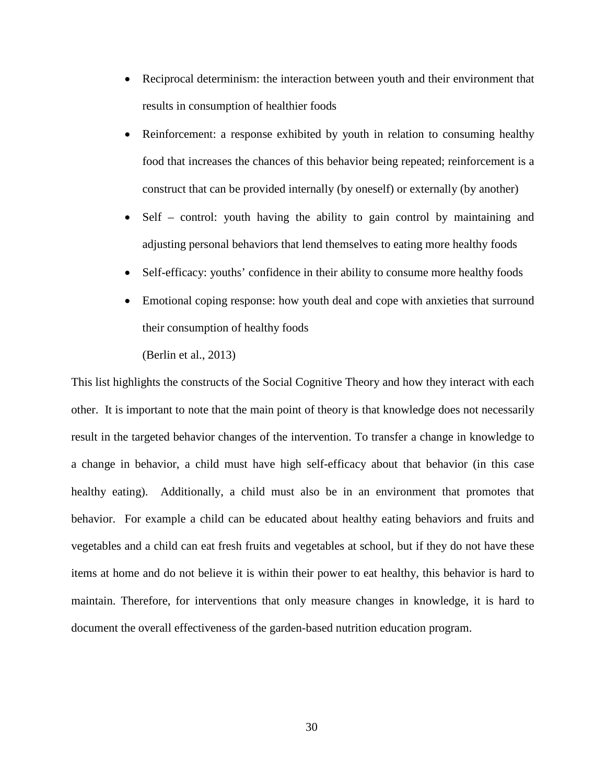- Reciprocal determinism: the interaction between youth and their environment that results in consumption of healthier foods
- Reinforcement: a response exhibited by youth in relation to consuming healthy food that increases the chances of this behavior being repeated; reinforcement is a construct that can be provided internally (by oneself) or externally (by another)
- Self control: youth having the ability to gain control by maintaining and adjusting personal behaviors that lend themselves to eating more healthy foods
- Self-efficacy: youths' confidence in their ability to consume more healthy foods
- Emotional coping response: how youth deal and cope with anxieties that surround their consumption of healthy foods
	- (Berlin et al., 2013)

This list highlights the constructs of the Social Cognitive Theory and how they interact with each other. It is important to note that the main point of theory is that knowledge does not necessarily result in the targeted behavior changes of the intervention. To transfer a change in knowledge to a change in behavior, a child must have high self-efficacy about that behavior (in this case healthy eating). Additionally, a child must also be in an environment that promotes that behavior. For example a child can be educated about healthy eating behaviors and fruits and vegetables and a child can eat fresh fruits and vegetables at school, but if they do not have these items at home and do not believe it is within their power to eat healthy, this behavior is hard to maintain. Therefore, for interventions that only measure changes in knowledge, it is hard to document the overall effectiveness of the garden-based nutrition education program.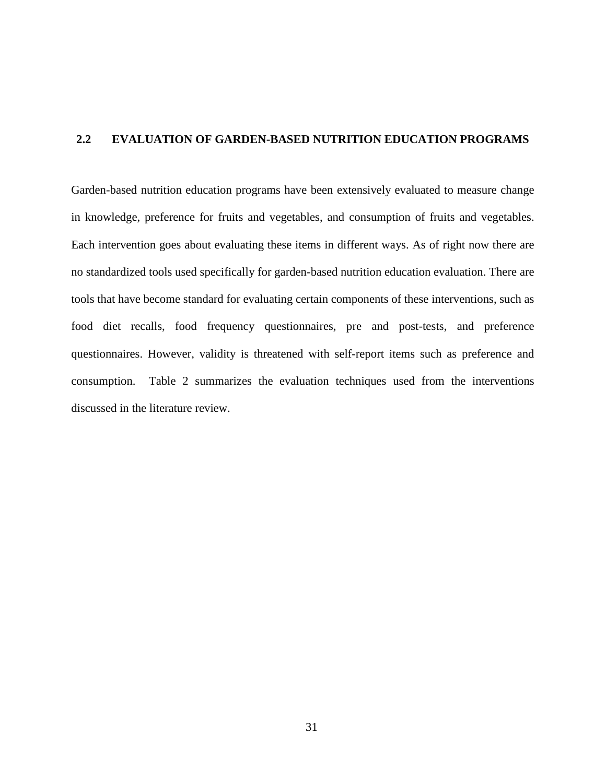# <span id="page-37-0"></span>**2.2 EVALUATION OF GARDEN-BASED NUTRITION EDUCATION PROGRAMS**

Garden-based nutrition education programs have been extensively evaluated to measure change in knowledge, preference for fruits and vegetables, and consumption of fruits and vegetables. Each intervention goes about evaluating these items in different ways. As of right now there are no standardized tools used specifically for garden-based nutrition education evaluation. There are tools that have become standard for evaluating certain components of these interventions, such as food diet recalls, food frequency questionnaires, pre and post-tests, and preference questionnaires. However, validity is threatened with self-report items such as preference and consumption. Table 2 summarizes the evaluation techniques used from the interventions discussed in the literature review.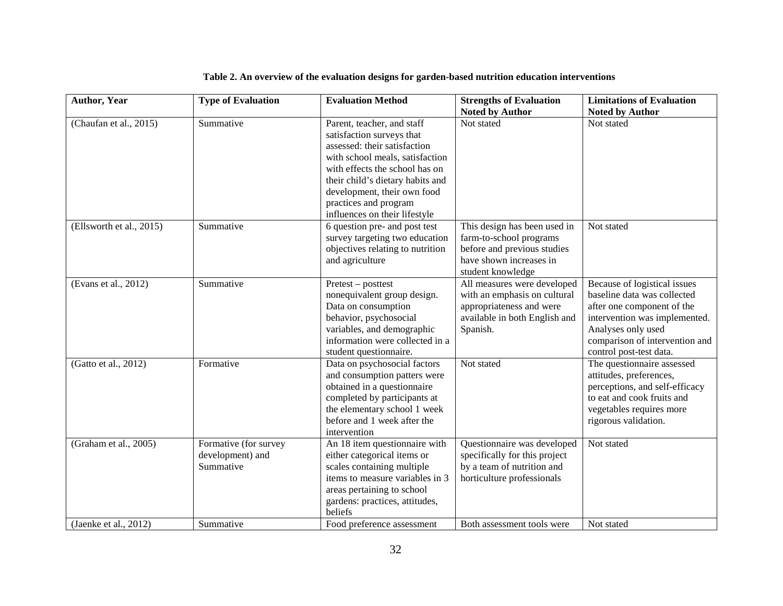<span id="page-38-0"></span>

| <b>Author, Year</b>      | <b>Type of Evaluation</b>                              | <b>Evaluation Method</b>                                                                                                                                                                                                                                                                  | <b>Strengths of Evaluation</b>                                                                                                         | <b>Limitations of Evaluation</b>                                                                                                                                                                              |
|--------------------------|--------------------------------------------------------|-------------------------------------------------------------------------------------------------------------------------------------------------------------------------------------------------------------------------------------------------------------------------------------------|----------------------------------------------------------------------------------------------------------------------------------------|---------------------------------------------------------------------------------------------------------------------------------------------------------------------------------------------------------------|
|                          |                                                        |                                                                                                                                                                                                                                                                                           | <b>Noted by Author</b>                                                                                                                 | <b>Noted by Author</b>                                                                                                                                                                                        |
| (Chaufan et al., 2015)   | Summative                                              | Parent, teacher, and staff<br>satisfaction surveys that<br>assessed: their satisfaction<br>with school meals, satisfaction<br>with effects the school has on<br>their child's dietary habits and<br>development, their own food<br>practices and program<br>influences on their lifestyle | Not stated                                                                                                                             | Not stated                                                                                                                                                                                                    |
| (Ellsworth et al., 2015) | Summative                                              | 6 question pre- and post test<br>survey targeting two education<br>objectives relating to nutrition<br>and agriculture                                                                                                                                                                    | This design has been used in<br>farm-to-school programs<br>before and previous studies<br>have shown increases in<br>student knowledge | Not stated                                                                                                                                                                                                    |
| (Evans et al., 2012)     | Summative                                              | Pretest – posttest<br>nonequivalent group design.<br>Data on consumption<br>behavior, psychosocial<br>variables, and demographic<br>information were collected in a<br>student questionnaire.                                                                                             | All measures were developed<br>with an emphasis on cultural<br>appropriateness and were<br>available in both English and<br>Spanish.   | Because of logistical issues<br>baseline data was collected<br>after one component of the<br>intervention was implemented.<br>Analyses only used<br>comparison of intervention and<br>control post-test data. |
| (Gatto et al., 2012)     | Formative                                              | Data on psychosocial factors<br>and consumption patters were<br>obtained in a questionnaire<br>completed by participants at<br>the elementary school 1 week<br>before and 1 week after the<br>intervention                                                                                | Not stated                                                                                                                             | The questionnaire assessed<br>attitudes, preferences,<br>perceptions, and self-efficacy<br>to eat and cook fruits and<br>vegetables requires more<br>rigorous validation.                                     |
| (Graham et al., 2005)    | Formative (for survey<br>development) and<br>Summative | An 18 item questionnaire with<br>either categorical items or<br>scales containing multiple<br>items to measure variables in 3<br>areas pertaining to school<br>gardens: practices, attitudes,<br>beliefs                                                                                  | Questionnaire was developed<br>specifically for this project<br>by a team of nutrition and<br>horticulture professionals               | Not stated                                                                                                                                                                                                    |
| (Jaenke et al., 2012)    | Summative                                              | Food preference assessment                                                                                                                                                                                                                                                                | Both assessment tools were                                                                                                             | Not stated                                                                                                                                                                                                    |

# **Table 2. An overview of the evaluation designs for garden-based nutrition education interventions**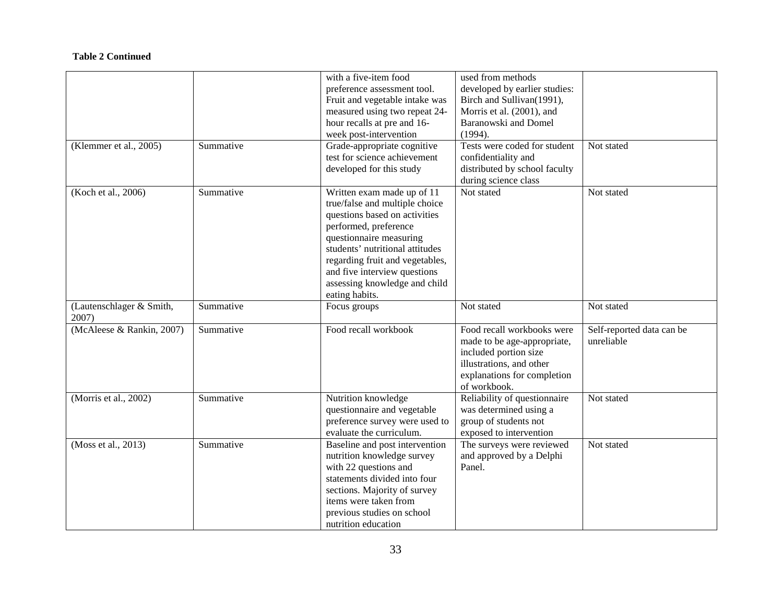|                                   |           | with a five-item food           | used from methods             |                           |
|-----------------------------------|-----------|---------------------------------|-------------------------------|---------------------------|
|                                   |           | preference assessment tool.     | developed by earlier studies: |                           |
|                                   |           | Fruit and vegetable intake was  | Birch and Sullivan(1991),     |                           |
|                                   |           | measured using two repeat 24-   | Morris et al. (2001), and     |                           |
|                                   |           | hour recalls at pre and 16-     | Baranowski and Domel          |                           |
|                                   |           | week post-intervention          | (1994).                       |                           |
| (Klemmer et al., 2005)            | Summative | Grade-appropriate cognitive     | Tests were coded for student  | Not stated                |
|                                   |           | test for science achievement    | confidentiality and           |                           |
|                                   |           | developed for this study        | distributed by school faculty |                           |
|                                   |           |                                 | during science class          |                           |
| (Koch et al., 2006)               | Summative | Written exam made up of 11      | Not stated                    | Not stated                |
|                                   |           | true/false and multiple choice  |                               |                           |
|                                   |           |                                 |                               |                           |
|                                   |           | questions based on activities   |                               |                           |
|                                   |           | performed, preference           |                               |                           |
|                                   |           | questionnaire measuring         |                               |                           |
|                                   |           | students' nutritional attitudes |                               |                           |
|                                   |           | regarding fruit and vegetables, |                               |                           |
|                                   |           | and five interview questions    |                               |                           |
|                                   |           | assessing knowledge and child   |                               |                           |
|                                   |           | eating habits.                  |                               |                           |
| (Lautenschlager & Smith,<br>2007) | Summative | Focus groups                    | Not stated                    | Not stated                |
| (McAleese & Rankin, 2007)         | Summative | Food recall workbook            | Food recall workbooks were    | Self-reported data can be |
|                                   |           |                                 | made to be age-appropriate,   | unreliable                |
|                                   |           |                                 | included portion size         |                           |
|                                   |           |                                 | illustrations, and other      |                           |
|                                   |           |                                 | explanations for completion   |                           |
|                                   |           |                                 | of workbook.                  |                           |
| (Morris et al., 2002)             | Summative | Nutrition knowledge             | Reliability of questionnaire  | Not stated                |
|                                   |           | questionnaire and vegetable     | was determined using a        |                           |
|                                   |           | preference survey were used to  | group of students not         |                           |
|                                   |           |                                 |                               |                           |
|                                   |           | evaluate the curriculum.        | exposed to intervention       |                           |
| (Moss et al., 2013)               | Summative | Baseline and post intervention  | The surveys were reviewed     | Not stated                |
|                                   |           | nutrition knowledge survey      | and approved by a Delphi      |                           |
|                                   |           | with 22 questions and           | Panel.                        |                           |
|                                   |           | statements divided into four    |                               |                           |
|                                   |           | sections. Majority of survey    |                               |                           |
|                                   |           | items were taken from           |                               |                           |
|                                   |           |                                 |                               |                           |
|                                   |           | previous studies on school      |                               |                           |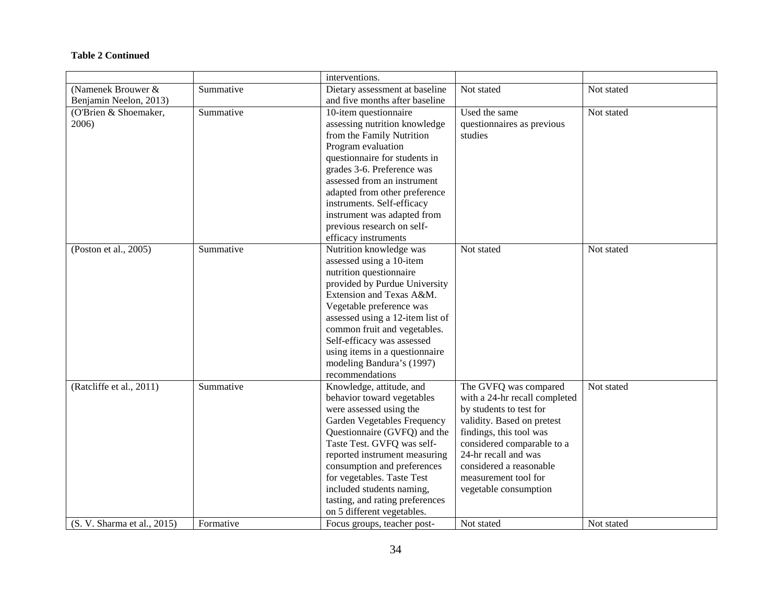|                             |           | interventions.                   |                               |            |
|-----------------------------|-----------|----------------------------------|-------------------------------|------------|
| (Namenek Brouwer &          | Summative | Dietary assessment at baseline   | Not stated                    | Not stated |
| Benjamin Neelon, 2013)      |           | and five months after baseline   |                               |            |
| (O'Brien & Shoemaker,       | Summative | 10-item questionnaire            | Used the same                 | Not stated |
| 2006)                       |           | assessing nutrition knowledge    | questionnaires as previous    |            |
|                             |           | from the Family Nutrition        | studies                       |            |
|                             |           | Program evaluation               |                               |            |
|                             |           | questionnaire for students in    |                               |            |
|                             |           | grades 3-6. Preference was       |                               |            |
|                             |           | assessed from an instrument      |                               |            |
|                             |           | adapted from other preference    |                               |            |
|                             |           | instruments. Self-efficacy       |                               |            |
|                             |           | instrument was adapted from      |                               |            |
|                             |           | previous research on self-       |                               |            |
|                             |           | efficacy instruments             |                               |            |
| (Poston et al., 2005)       | Summative | Nutrition knowledge was          | Not stated                    | Not stated |
|                             |           | assessed using a 10-item         |                               |            |
|                             |           | nutrition questionnaire          |                               |            |
|                             |           | provided by Purdue University    |                               |            |
|                             |           | Extension and Texas A&M.         |                               |            |
|                             |           |                                  |                               |            |
|                             |           | Vegetable preference was         |                               |            |
|                             |           | assessed using a 12-item list of |                               |            |
|                             |           | common fruit and vegetables.     |                               |            |
|                             |           | Self-efficacy was assessed       |                               |            |
|                             |           | using items in a questionnaire   |                               |            |
|                             |           | modeling Bandura's (1997)        |                               |            |
|                             |           | recommendations                  |                               |            |
| (Ratcliffe et al., 2011)    | Summative | Knowledge, attitude, and         | The GVFQ was compared         | Not stated |
|                             |           | behavior toward vegetables       | with a 24-hr recall completed |            |
|                             |           | were assessed using the          | by students to test for       |            |
|                             |           | Garden Vegetables Frequency      | validity. Based on pretest    |            |
|                             |           | Questionnaire (GVFQ) and the     | findings, this tool was       |            |
|                             |           | Taste Test. GVFQ was self-       | considered comparable to a    |            |
|                             |           | reported instrument measuring    | 24-hr recall and was          |            |
|                             |           | consumption and preferences      | considered a reasonable       |            |
|                             |           | for vegetables. Taste Test       | measurement tool for          |            |
|                             |           | included students naming,        | vegetable consumption         |            |
|                             |           | tasting, and rating preferences  |                               |            |
|                             |           | on 5 different vegetables.       |                               |            |
| (S. V. Sharma et al., 2015) | Formative | Focus groups, teacher post-      | Not stated                    | Not stated |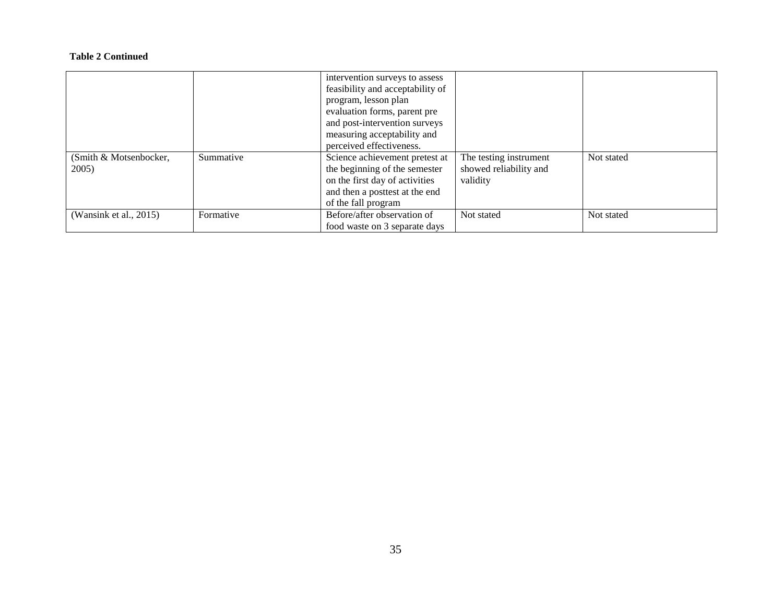|                        |           | intervention surveys to assess   |                        |            |
|------------------------|-----------|----------------------------------|------------------------|------------|
|                        |           | feasibility and acceptability of |                        |            |
|                        |           | program, lesson plan             |                        |            |
|                        |           | evaluation forms, parent pre     |                        |            |
|                        |           | and post-intervention surveys    |                        |            |
|                        |           | measuring acceptability and      |                        |            |
|                        |           | perceived effectiveness.         |                        |            |
| (Smith & Motsenbocker, | Summative | Science achievement pretest at   | The testing instrument | Not stated |
| 2005)                  |           | the beginning of the semester    | showed reliability and |            |
|                        |           | on the first day of activities   | validity               |            |
|                        |           | and then a posttest at the end   |                        |            |
|                        |           | of the fall program              |                        |            |
| (Wansink et al., 2015) | Formative | Before/after observation of      | Not stated             | Not stated |
|                        |           | food waste on 3 separate days    |                        |            |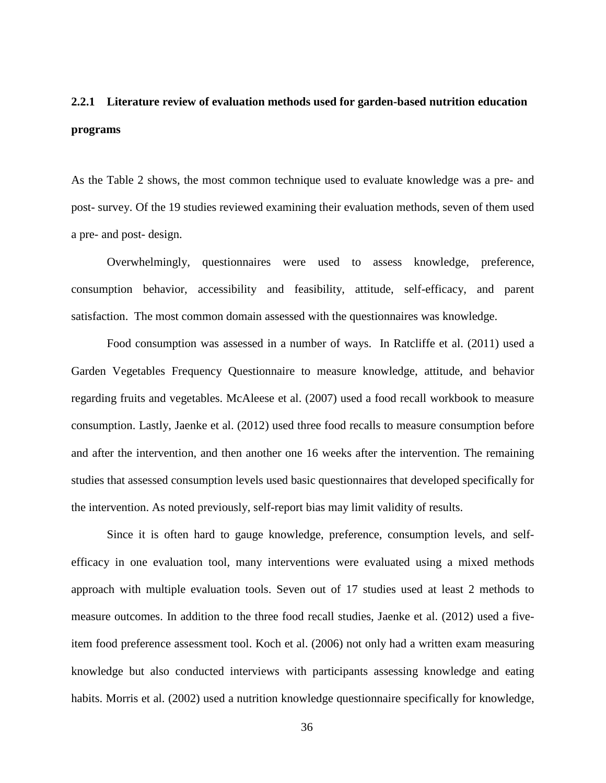# <span id="page-42-0"></span>**2.2.1 Literature review of evaluation methods used for garden-based nutrition education programs**

As the Table 2 shows, the most common technique used to evaluate knowledge was a pre- and post- survey. Of the 19 studies reviewed examining their evaluation methods, seven of them used a pre- and post- design.

Overwhelmingly, questionnaires were used to assess knowledge, preference, consumption behavior, accessibility and feasibility, attitude, self-efficacy, and parent satisfaction. The most common domain assessed with the questionnaires was knowledge.

Food consumption was assessed in a number of ways. In Ratcliffe et al. (2011) used a Garden Vegetables Frequency Questionnaire to measure knowledge, attitude, and behavior regarding fruits and vegetables. McAleese et al. (2007) used a food recall workbook to measure consumption. Lastly, Jaenke et al. (2012) used three food recalls to measure consumption before and after the intervention, and then another one 16 weeks after the intervention. The remaining studies that assessed consumption levels used basic questionnaires that developed specifically for the intervention. As noted previously, self-report bias may limit validity of results.

Since it is often hard to gauge knowledge, preference, consumption levels, and selfefficacy in one evaluation tool, many interventions were evaluated using a mixed methods approach with multiple evaluation tools. Seven out of 17 studies used at least 2 methods to measure outcomes. In addition to the three food recall studies, Jaenke et al. (2012) used a fiveitem food preference assessment tool. Koch et al. (2006) not only had a written exam measuring knowledge but also conducted interviews with participants assessing knowledge and eating habits. Morris et al. (2002) used a nutrition knowledge questionnaire specifically for knowledge,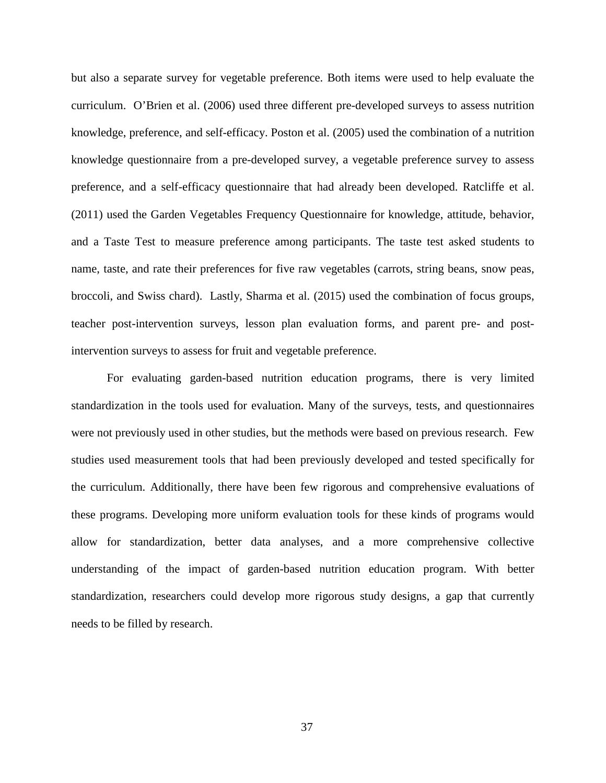but also a separate survey for vegetable preference. Both items were used to help evaluate the curriculum. O'Brien et al. (2006) used three different pre-developed surveys to assess nutrition knowledge, preference, and self-efficacy. Poston et al. (2005) used the combination of a nutrition knowledge questionnaire from a pre-developed survey, a vegetable preference survey to assess preference, and a self-efficacy questionnaire that had already been developed. Ratcliffe et al. (2011) used the Garden Vegetables Frequency Questionnaire for knowledge, attitude, behavior, and a Taste Test to measure preference among participants. The taste test asked students to name, taste, and rate their preferences for five raw vegetables (carrots, string beans, snow peas, broccoli, and Swiss chard). Lastly, Sharma et al. (2015) used the combination of focus groups, teacher post-intervention surveys, lesson plan evaluation forms, and parent pre- and postintervention surveys to assess for fruit and vegetable preference.

For evaluating garden-based nutrition education programs, there is very limited standardization in the tools used for evaluation. Many of the surveys, tests, and questionnaires were not previously used in other studies, but the methods were based on previous research. Few studies used measurement tools that had been previously developed and tested specifically for the curriculum. Additionally, there have been few rigorous and comprehensive evaluations of these programs. Developing more uniform evaluation tools for these kinds of programs would allow for standardization, better data analyses, and a more comprehensive collective understanding of the impact of garden-based nutrition education program. With better standardization, researchers could develop more rigorous study designs, a gap that currently needs to be filled by research.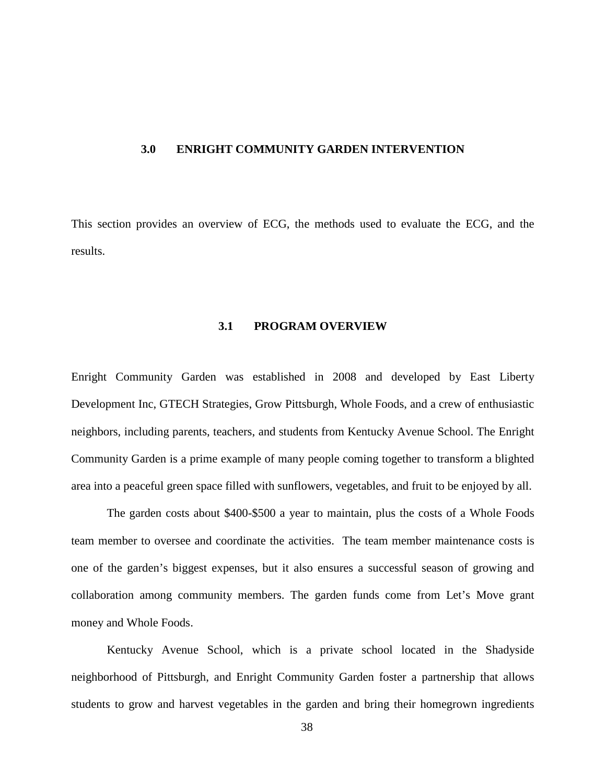#### <span id="page-44-0"></span>**3.0 ENRIGHT COMMUNITY GARDEN INTERVENTION**

<span id="page-44-1"></span>This section provides an overview of ECG, the methods used to evaluate the ECG, and the results.

#### **3.1 PROGRAM OVERVIEW**

Enright Community Garden was established in 2008 and developed by East Liberty Development Inc, GTECH Strategies, Grow Pittsburgh, Whole Foods, and a crew of enthusiastic neighbors, including parents, teachers, and students from Kentucky Avenue School. The Enright Community Garden is a prime example of many people coming together to transform a blighted area into a peaceful green space filled with sunflowers, vegetables, and fruit to be enjoyed by all.

The garden costs about \$400-\$500 a year to maintain, plus the costs of a Whole Foods team member to oversee and coordinate the activities. The team member maintenance costs is one of the garden's biggest expenses, but it also ensures a successful season of growing and collaboration among community members. The garden funds come from Let's Move grant money and Whole Foods.

Kentucky Avenue School, which is a private school located in the Shadyside neighborhood of Pittsburgh, and Enright Community Garden foster a partnership that allows students to grow and harvest vegetables in the garden and bring their homegrown ingredients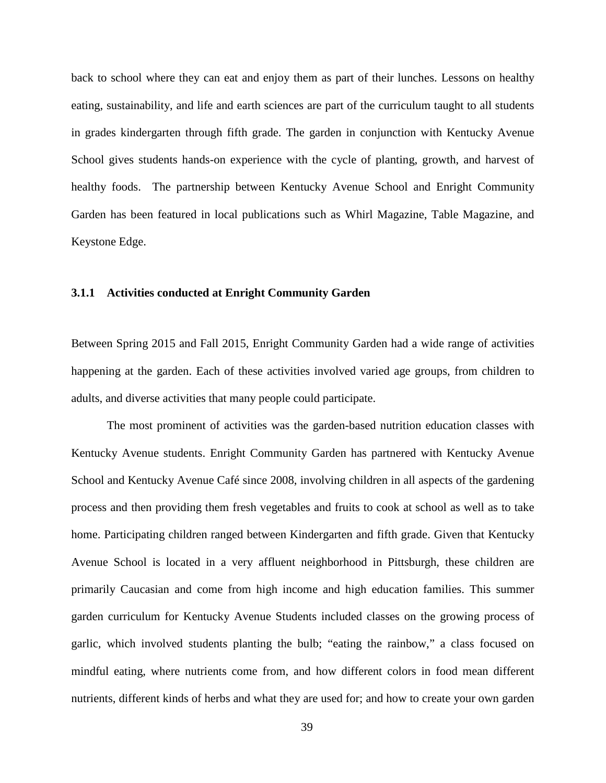back to school where they can eat and enjoy them as part of their lunches. Lessons on healthy eating, sustainability, and life and earth sciences are part of the curriculum taught to all students in grades kindergarten through fifth grade. The garden in conjunction with Kentucky Avenue School gives students hands-on experience with the cycle of planting, growth, and harvest of healthy foods. The partnership between Kentucky Avenue School and Enright Community Garden has been featured in local publications such as Whirl Magazine, Table Magazine, and Keystone Edge.

#### <span id="page-45-0"></span>**3.1.1 Activities conducted at Enright Community Garden**

Between Spring 2015 and Fall 2015, Enright Community Garden had a wide range of activities happening at the garden. Each of these activities involved varied age groups, from children to adults, and diverse activities that many people could participate.

The most prominent of activities was the garden-based nutrition education classes with Kentucky Avenue students. Enright Community Garden has partnered with Kentucky Avenue School and Kentucky Avenue Café since 2008, involving children in all aspects of the gardening process and then providing them fresh vegetables and fruits to cook at school as well as to take home. Participating children ranged between Kindergarten and fifth grade. Given that Kentucky Avenue School is located in a very affluent neighborhood in Pittsburgh, these children are primarily Caucasian and come from high income and high education families. This summer garden curriculum for Kentucky Avenue Students included classes on the growing process of garlic, which involved students planting the bulb; "eating the rainbow," a class focused on mindful eating, where nutrients come from, and how different colors in food mean different nutrients, different kinds of herbs and what they are used for; and how to create your own garden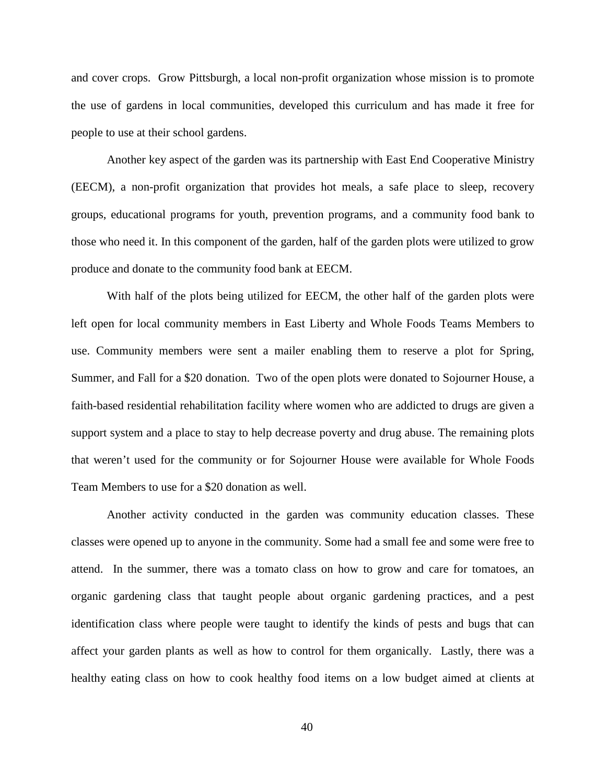and cover crops. Grow Pittsburgh, a local non-profit organization whose mission is to promote the use of gardens in local communities, developed this curriculum and has made it free for people to use at their school gardens.

Another key aspect of the garden was its partnership with East End Cooperative Ministry (EECM), a non-profit organization that provides hot meals, a safe place to sleep, recovery groups, educational programs for youth, prevention programs, and a community food bank to those who need it. In this component of the garden, half of the garden plots were utilized to grow produce and donate to the community food bank at EECM.

With half of the plots being utilized for EECM, the other half of the garden plots were left open for local community members in East Liberty and Whole Foods Teams Members to use. Community members were sent a mailer enabling them to reserve a plot for Spring, Summer, and Fall for a \$20 donation. Two of the open plots were donated to Sojourner House, a faith-based residential rehabilitation facility where women who are addicted to drugs are given a support system and a place to stay to help decrease poverty and drug abuse. The remaining plots that weren't used for the community or for Sojourner House were available for Whole Foods Team Members to use for a \$20 donation as well.

Another activity conducted in the garden was community education classes. These classes were opened up to anyone in the community. Some had a small fee and some were free to attend. In the summer, there was a tomato class on how to grow and care for tomatoes, an organic gardening class that taught people about organic gardening practices, and a pest identification class where people were taught to identify the kinds of pests and bugs that can affect your garden plants as well as how to control for them organically. Lastly, there was a healthy eating class on how to cook healthy food items on a low budget aimed at clients at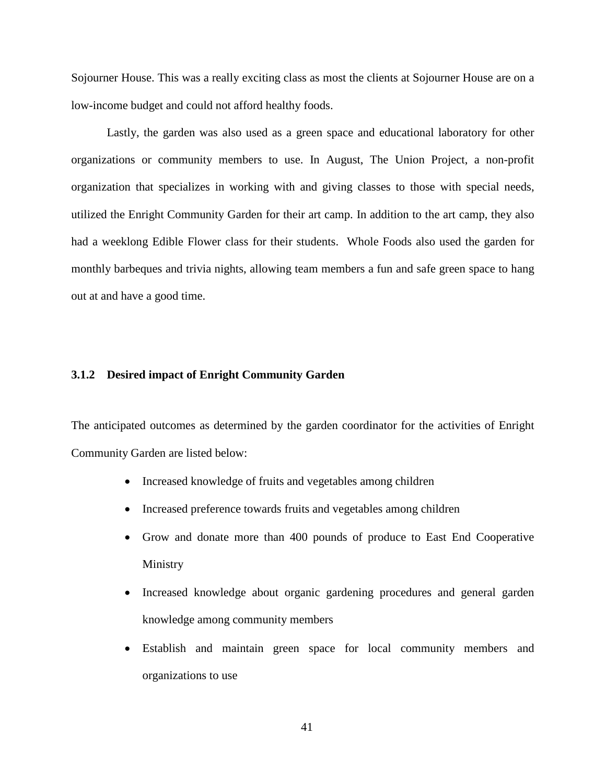Sojourner House. This was a really exciting class as most the clients at Sojourner House are on a low-income budget and could not afford healthy foods.

Lastly, the garden was also used as a green space and educational laboratory for other organizations or community members to use. In August, The Union Project, a non-profit organization that specializes in working with and giving classes to those with special needs, utilized the Enright Community Garden for their art camp. In addition to the art camp, they also had a weeklong Edible Flower class for their students. Whole Foods also used the garden for monthly barbeques and trivia nights, allowing team members a fun and safe green space to hang out at and have a good time.

# <span id="page-47-0"></span>**3.1.2 Desired impact of Enright Community Garden**

The anticipated outcomes as determined by the garden coordinator for the activities of Enright Community Garden are listed below:

- Increased knowledge of fruits and vegetables among children
- Increased preference towards fruits and vegetables among children
- Grow and donate more than 400 pounds of produce to East End Cooperative Ministry
- Increased knowledge about organic gardening procedures and general garden knowledge among community members
- Establish and maintain green space for local community members and organizations to use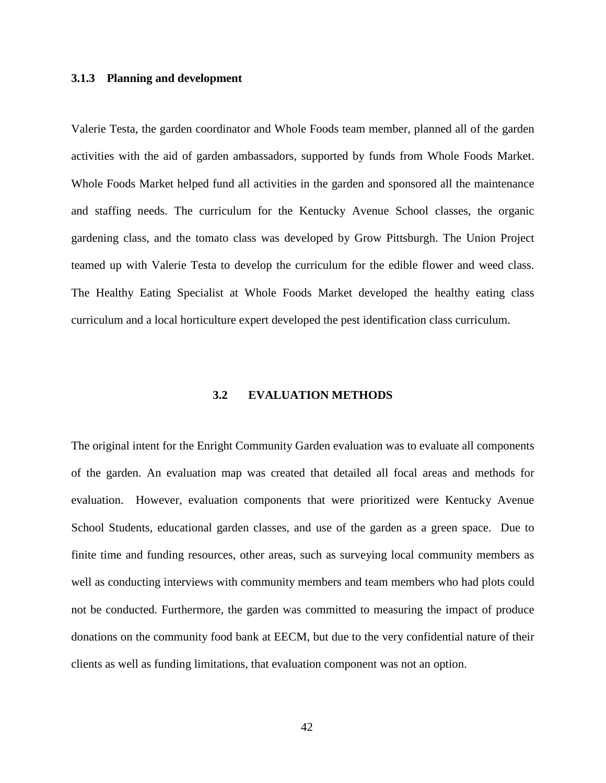#### <span id="page-48-0"></span>**3.1.3 Planning and development**

Valerie Testa, the garden coordinator and Whole Foods team member, planned all of the garden activities with the aid of garden ambassadors, supported by funds from Whole Foods Market. Whole Foods Market helped fund all activities in the garden and sponsored all the maintenance and staffing needs. The curriculum for the Kentucky Avenue School classes, the organic gardening class, and the tomato class was developed by Grow Pittsburgh. The Union Project teamed up with Valerie Testa to develop the curriculum for the edible flower and weed class. The Healthy Eating Specialist at Whole Foods Market developed the healthy eating class curriculum and a local horticulture expert developed the pest identification class curriculum.

#### **3.2 EVALUATION METHODS**

<span id="page-48-1"></span>The original intent for the Enright Community Garden evaluation was to evaluate all components of the garden. An evaluation map was created that detailed all focal areas and methods for evaluation. However, evaluation components that were prioritized were Kentucky Avenue School Students, educational garden classes, and use of the garden as a green space. Due to finite time and funding resources, other areas, such as surveying local community members as well as conducting interviews with community members and team members who had plots could not be conducted. Furthermore, the garden was committed to measuring the impact of produce donations on the community food bank at EECM, but due to the very confidential nature of their clients as well as funding limitations, that evaluation component was not an option.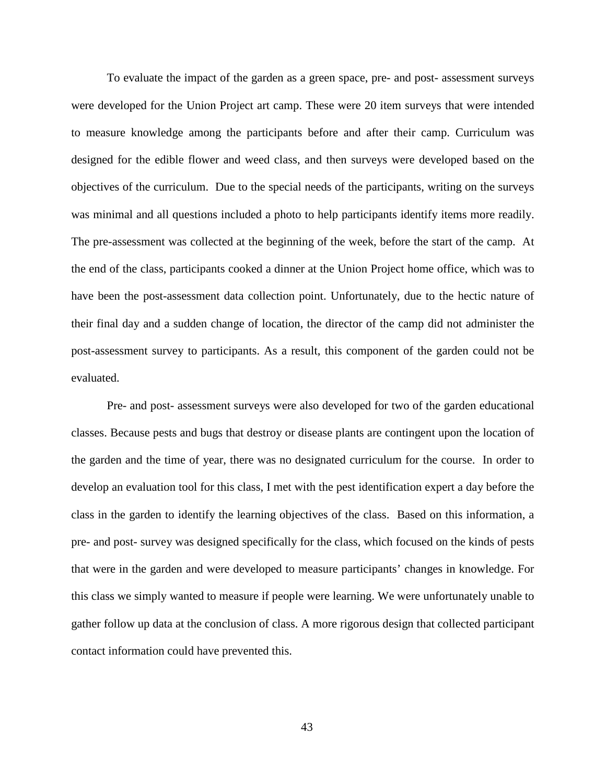To evaluate the impact of the garden as a green space, pre- and post- assessment surveys were developed for the Union Project art camp. These were 20 item surveys that were intended to measure knowledge among the participants before and after their camp. Curriculum was designed for the edible flower and weed class, and then surveys were developed based on the objectives of the curriculum. Due to the special needs of the participants, writing on the surveys was minimal and all questions included a photo to help participants identify items more readily. The pre-assessment was collected at the beginning of the week, before the start of the camp. At the end of the class, participants cooked a dinner at the Union Project home office, which was to have been the post-assessment data collection point. Unfortunately, due to the hectic nature of their final day and a sudden change of location, the director of the camp did not administer the post-assessment survey to participants. As a result, this component of the garden could not be evaluated.

Pre- and post- assessment surveys were also developed for two of the garden educational classes. Because pests and bugs that destroy or disease plants are contingent upon the location of the garden and the time of year, there was no designated curriculum for the course. In order to develop an evaluation tool for this class, I met with the pest identification expert a day before the class in the garden to identify the learning objectives of the class. Based on this information, a pre- and post- survey was designed specifically for the class, which focused on the kinds of pests that were in the garden and were developed to measure participants' changes in knowledge. For this class we simply wanted to measure if people were learning. We were unfortunately unable to gather follow up data at the conclusion of class. A more rigorous design that collected participant contact information could have prevented this.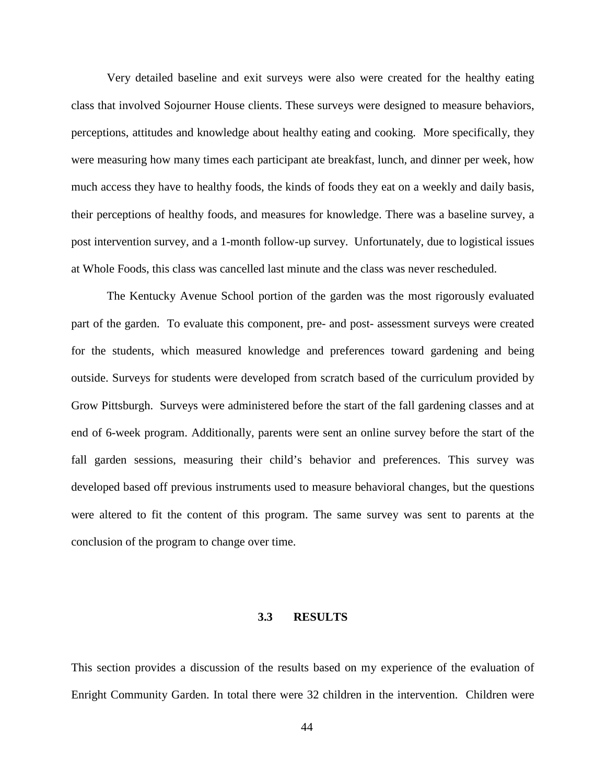Very detailed baseline and exit surveys were also were created for the healthy eating class that involved Sojourner House clients. These surveys were designed to measure behaviors, perceptions, attitudes and knowledge about healthy eating and cooking. More specifically, they were measuring how many times each participant ate breakfast, lunch, and dinner per week, how much access they have to healthy foods, the kinds of foods they eat on a weekly and daily basis, their perceptions of healthy foods, and measures for knowledge. There was a baseline survey, a post intervention survey, and a 1-month follow-up survey. Unfortunately, due to logistical issues at Whole Foods, this class was cancelled last minute and the class was never rescheduled.

The Kentucky Avenue School portion of the garden was the most rigorously evaluated part of the garden. To evaluate this component, pre- and post- assessment surveys were created for the students, which measured knowledge and preferences toward gardening and being outside. Surveys for students were developed from scratch based of the curriculum provided by Grow Pittsburgh. Surveys were administered before the start of the fall gardening classes and at end of 6-week program. Additionally, parents were sent an online survey before the start of the fall garden sessions, measuring their child's behavior and preferences. This survey was developed based off previous instruments used to measure behavioral changes, but the questions were altered to fit the content of this program. The same survey was sent to parents at the conclusion of the program to change over time.

#### **3.3 RESULTS**

<span id="page-50-0"></span>This section provides a discussion of the results based on my experience of the evaluation of Enright Community Garden. In total there were 32 children in the intervention. Children were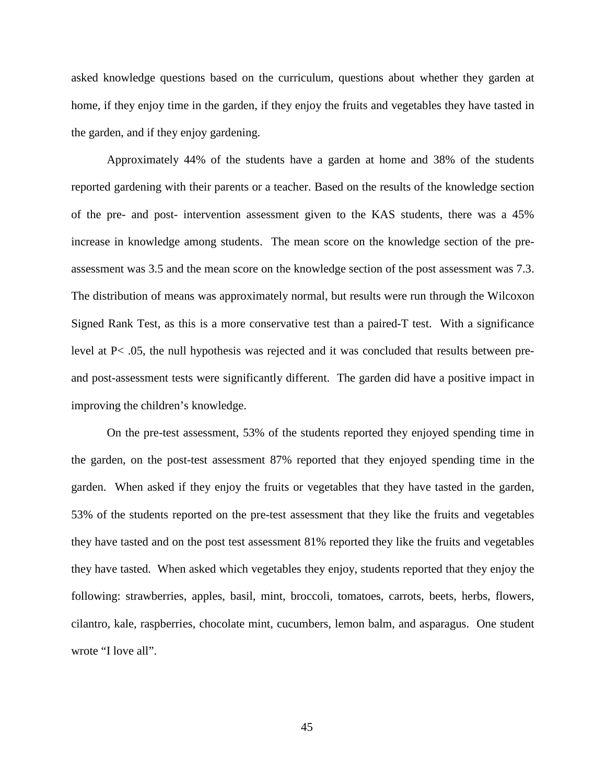asked knowledge questions based on the curriculum, questions about whether they garden at home, if they enjoy time in the garden, if they enjoy the fruits and vegetables they have tasted in the garden, and if they enjoy gardening.

Approximately 44% of the students have a garden at home and 38% of the students reported gardening with their parents or a teacher. Based on the results of the knowledge section of the pre- and post- intervention assessment given to the KAS students, there was a 45% increase in knowledge among students. The mean score on the knowledge section of the preassessment was 3.5 and the mean score on the knowledge section of the post assessment was 7.3. The distribution of means was approximately normal, but results were run through the Wilcoxon Signed Rank Test, as this is a more conservative test than a paired-T test. With a significance level at P< .05, the null hypothesis was rejected and it was concluded that results between preand post-assessment tests were significantly different. The garden did have a positive impact in improving the children's knowledge.

On the pre-test assessment, 53% of the students reported they enjoyed spending time in the garden, on the post-test assessment 87% reported that they enjoyed spending time in the garden. When asked if they enjoy the fruits or vegetables that they have tasted in the garden, 53% of the students reported on the pre-test assessment that they like the fruits and vegetables they have tasted and on the post test assessment 81% reported they like the fruits and vegetables they have tasted. When asked which vegetables they enjoy, students reported that they enjoy the following: strawberries, apples, basil, mint, broccoli, tomatoes, carrots, beets, herbs, flowers, cilantro, kale, raspberries, chocolate mint, cucumbers, lemon balm, and asparagus. One student wrote "I love all".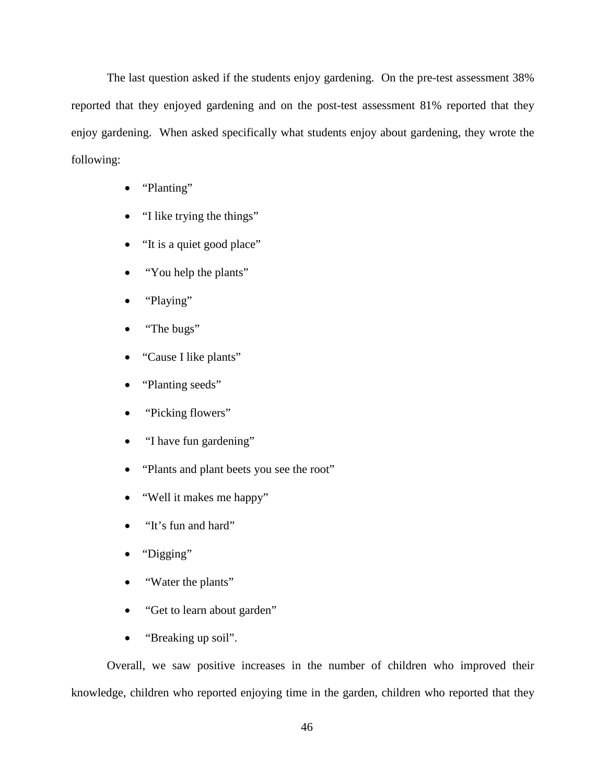The last question asked if the students enjoy gardening. On the pre-test assessment 38% reported that they enjoyed gardening and on the post-test assessment 81% reported that they enjoy gardening. When asked specifically what students enjoy about gardening, they wrote the following:

- "Planting"
- "I like trying the things"
- "It is a quiet good place"
- "You help the plants"
- "Playing"
- "The bugs"
- "Cause I like plants"
- "Planting seeds"
- "Picking flowers"
- "I have fun gardening"
- "Plants and plant beets you see the root"
- "Well it makes me happy"
- "It's fun and hard"
- "Digging"
- "Water the plants"
- "Get to learn about garden"
- "Breaking up soil".

Overall, we saw positive increases in the number of children who improved their knowledge, children who reported enjoying time in the garden, children who reported that they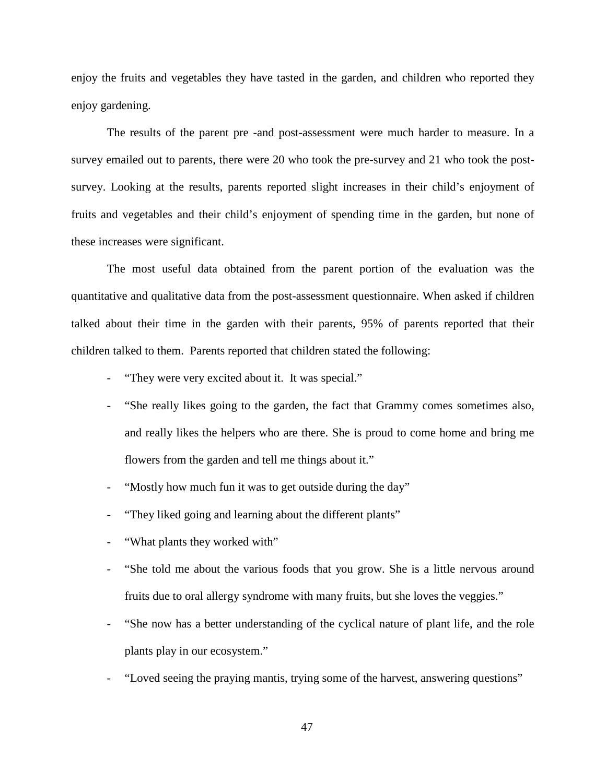enjoy the fruits and vegetables they have tasted in the garden, and children who reported they enjoy gardening.

The results of the parent pre -and post-assessment were much harder to measure. In a survey emailed out to parents, there were 20 who took the pre-survey and 21 who took the postsurvey. Looking at the results, parents reported slight increases in their child's enjoyment of fruits and vegetables and their child's enjoyment of spending time in the garden, but none of these increases were significant.

The most useful data obtained from the parent portion of the evaluation was the quantitative and qualitative data from the post-assessment questionnaire. When asked if children talked about their time in the garden with their parents, 95% of parents reported that their children talked to them. Parents reported that children stated the following:

- "They were very excited about it. It was special."
- "She really likes going to the garden, the fact that Grammy comes sometimes also, and really likes the helpers who are there. She is proud to come home and bring me flowers from the garden and tell me things about it."
- "Mostly how much fun it was to get outside during the day"
- "They liked going and learning about the different plants"
- "What plants they worked with"
- "She told me about the various foods that you grow. She is a little nervous around fruits due to oral allergy syndrome with many fruits, but she loves the veggies."
- "She now has a better understanding of the cyclical nature of plant life, and the role plants play in our ecosystem."
- "Loved seeing the praying mantis, trying some of the harvest, answering questions"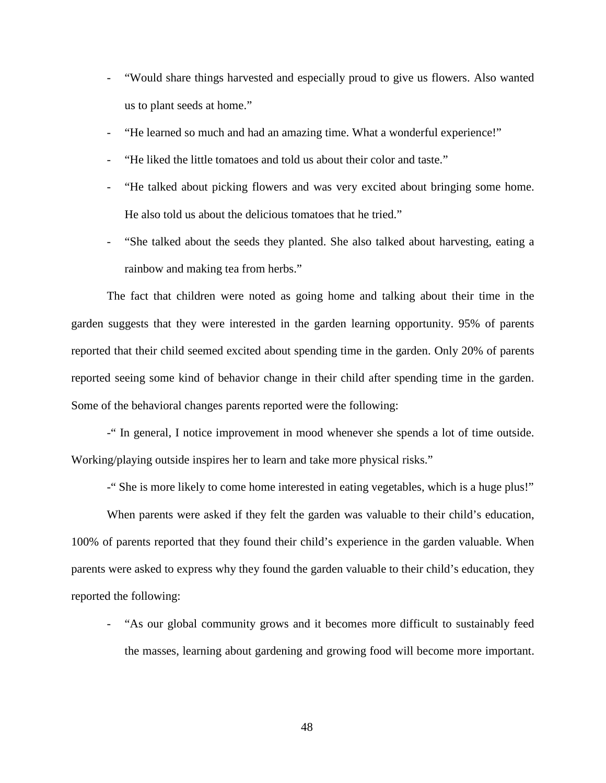- "Would share things harvested and especially proud to give us flowers. Also wanted us to plant seeds at home."
- "He learned so much and had an amazing time. What a wonderful experience!"
- "He liked the little tomatoes and told us about their color and taste."
- "He talked about picking flowers and was very excited about bringing some home. He also told us about the delicious tomatoes that he tried."
- "She talked about the seeds they planted. She also talked about harvesting, eating a rainbow and making tea from herbs."

The fact that children were noted as going home and talking about their time in the garden suggests that they were interested in the garden learning opportunity. 95% of parents reported that their child seemed excited about spending time in the garden. Only 20% of parents reported seeing some kind of behavior change in their child after spending time in the garden. Some of the behavioral changes parents reported were the following:

-" In general, I notice improvement in mood whenever she spends a lot of time outside. Working/playing outside inspires her to learn and take more physical risks."

-" She is more likely to come home interested in eating vegetables, which is a huge plus!"

When parents were asked if they felt the garden was valuable to their child's education, 100% of parents reported that they found their child's experience in the garden valuable. When parents were asked to express why they found the garden valuable to their child's education, they reported the following:

- "As our global community grows and it becomes more difficult to sustainably feed the masses, learning about gardening and growing food will become more important.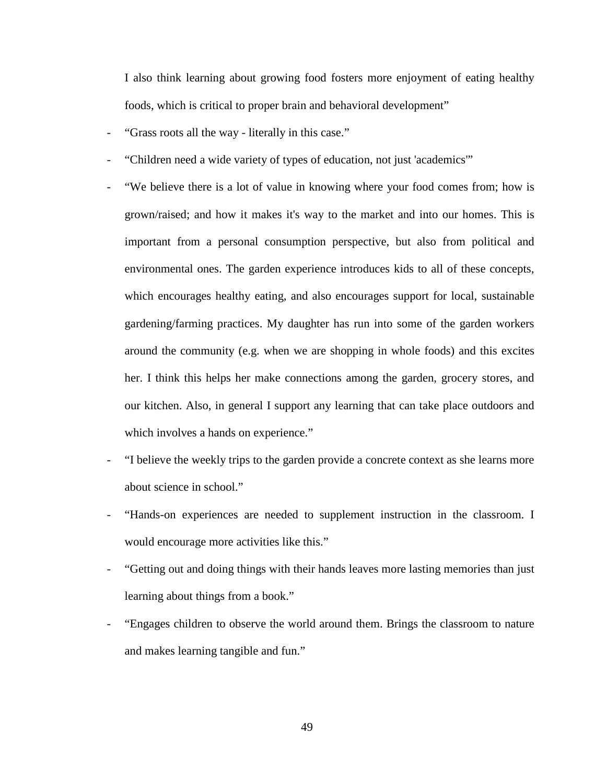I also think learning about growing food fosters more enjoyment of eating healthy foods, which is critical to proper brain and behavioral development"

- "Grass roots all the way literally in this case."
- "Children need a wide variety of types of education, not just 'academics'"
- "We believe there is a lot of value in knowing where your food comes from; how is grown/raised; and how it makes it's way to the market and into our homes. This is important from a personal consumption perspective, but also from political and environmental ones. The garden experience introduces kids to all of these concepts, which encourages healthy eating, and also encourages support for local, sustainable gardening/farming practices. My daughter has run into some of the garden workers around the community (e.g. when we are shopping in whole foods) and this excites her. I think this helps her make connections among the garden, grocery stores, and our kitchen. Also, in general I support any learning that can take place outdoors and which involves a hands on experience."
- "I believe the weekly trips to the garden provide a concrete context as she learns more about science in school."
- "Hands-on experiences are needed to supplement instruction in the classroom. I would encourage more activities like this."
- "Getting out and doing things with their hands leaves more lasting memories than just learning about things from a book."
- "Engages children to observe the world around them. Brings the classroom to nature and makes learning tangible and fun."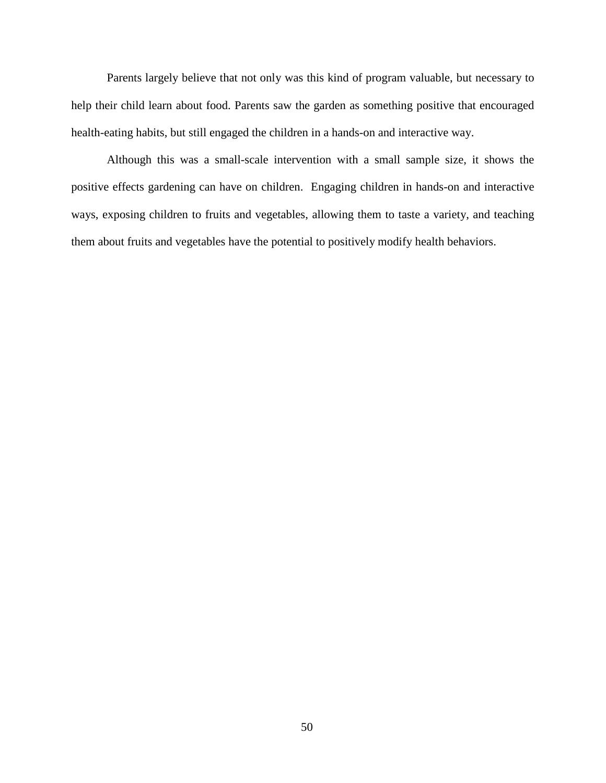Parents largely believe that not only was this kind of program valuable, but necessary to help their child learn about food. Parents saw the garden as something positive that encouraged health-eating habits, but still engaged the children in a hands-on and interactive way.

Although this was a small-scale intervention with a small sample size, it shows the positive effects gardening can have on children. Engaging children in hands-on and interactive ways, exposing children to fruits and vegetables, allowing them to taste a variety, and teaching them about fruits and vegetables have the potential to positively modify health behaviors.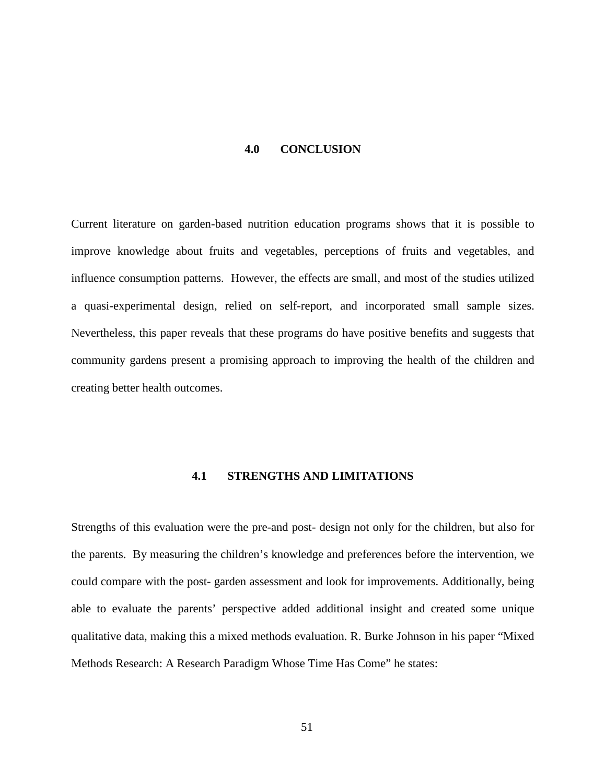#### **4.0 CONCLUSION**

<span id="page-57-0"></span>Current literature on garden-based nutrition education programs shows that it is possible to improve knowledge about fruits and vegetables, perceptions of fruits and vegetables, and influence consumption patterns. However, the effects are small, and most of the studies utilized a quasi-experimental design, relied on self-report, and incorporated small sample sizes. Nevertheless, this paper reveals that these programs do have positive benefits and suggests that community gardens present a promising approach to improving the health of the children and creating better health outcomes.

#### **4.1 STRENGTHS AND LIMITATIONS**

<span id="page-57-1"></span>Strengths of this evaluation were the pre-and post- design not only for the children, but also for the parents. By measuring the children's knowledge and preferences before the intervention, we could compare with the post- garden assessment and look for improvements. Additionally, being able to evaluate the parents' perspective added additional insight and created some unique qualitative data, making this a mixed methods evaluation. R. Burke Johnson in his paper "Mixed Methods Research: A Research Paradigm Whose Time Has Come" he states: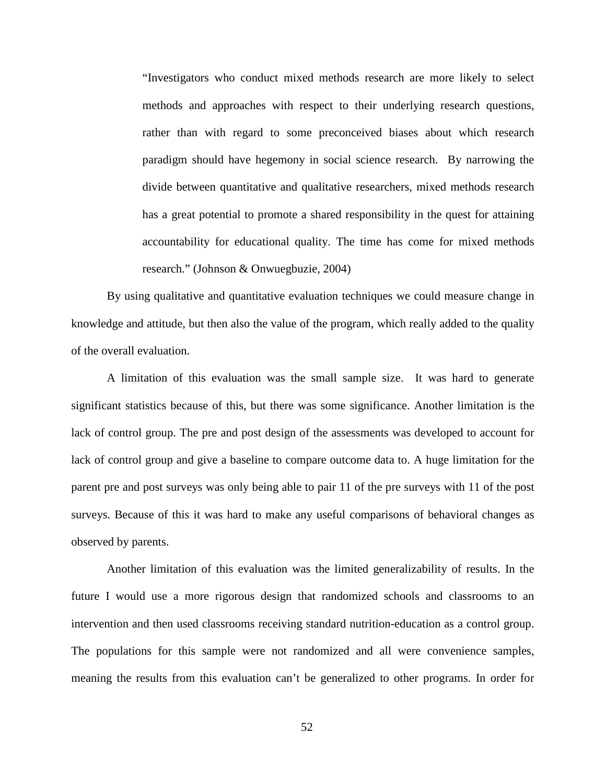"Investigators who conduct mixed methods research are more likely to select methods and approaches with respect to their underlying research questions, rather than with regard to some preconceived biases about which research paradigm should have hegemony in social science research. By narrowing the divide between quantitative and qualitative researchers, mixed methods research has a great potential to promote a shared responsibility in the quest for attaining accountability for educational quality. The time has come for mixed methods research." (Johnson & Onwuegbuzie, 2004)

By using qualitative and quantitative evaluation techniques we could measure change in knowledge and attitude, but then also the value of the program, which really added to the quality of the overall evaluation.

A limitation of this evaluation was the small sample size. It was hard to generate significant statistics because of this, but there was some significance. Another limitation is the lack of control group. The pre and post design of the assessments was developed to account for lack of control group and give a baseline to compare outcome data to. A huge limitation for the parent pre and post surveys was only being able to pair 11 of the pre surveys with 11 of the post surveys. Because of this it was hard to make any useful comparisons of behavioral changes as observed by parents.

Another limitation of this evaluation was the limited generalizability of results. In the future I would use a more rigorous design that randomized schools and classrooms to an intervention and then used classrooms receiving standard nutrition-education as a control group. The populations for this sample were not randomized and all were convenience samples, meaning the results from this evaluation can't be generalized to other programs. In order for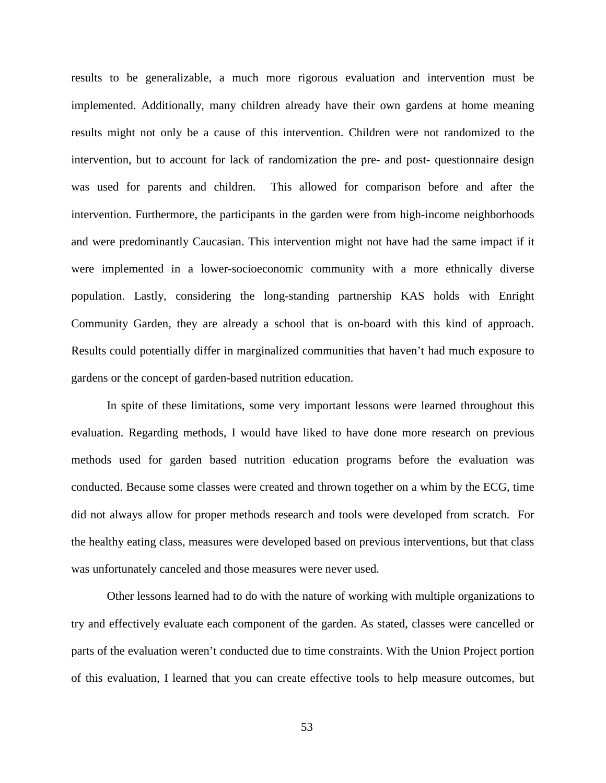results to be generalizable, a much more rigorous evaluation and intervention must be implemented. Additionally, many children already have their own gardens at home meaning results might not only be a cause of this intervention. Children were not randomized to the intervention, but to account for lack of randomization the pre- and post- questionnaire design was used for parents and children. This allowed for comparison before and after the intervention. Furthermore, the participants in the garden were from high-income neighborhoods and were predominantly Caucasian. This intervention might not have had the same impact if it were implemented in a lower-socioeconomic community with a more ethnically diverse population. Lastly, considering the long-standing partnership KAS holds with Enright Community Garden, they are already a school that is on-board with this kind of approach. Results could potentially differ in marginalized communities that haven't had much exposure to gardens or the concept of garden-based nutrition education.

In spite of these limitations, some very important lessons were learned throughout this evaluation. Regarding methods, I would have liked to have done more research on previous methods used for garden based nutrition education programs before the evaluation was conducted. Because some classes were created and thrown together on a whim by the ECG, time did not always allow for proper methods research and tools were developed from scratch. For the healthy eating class, measures were developed based on previous interventions, but that class was unfortunately canceled and those measures were never used.

Other lessons learned had to do with the nature of working with multiple organizations to try and effectively evaluate each component of the garden. As stated, classes were cancelled or parts of the evaluation weren't conducted due to time constraints. With the Union Project portion of this evaluation, I learned that you can create effective tools to help measure outcomes, but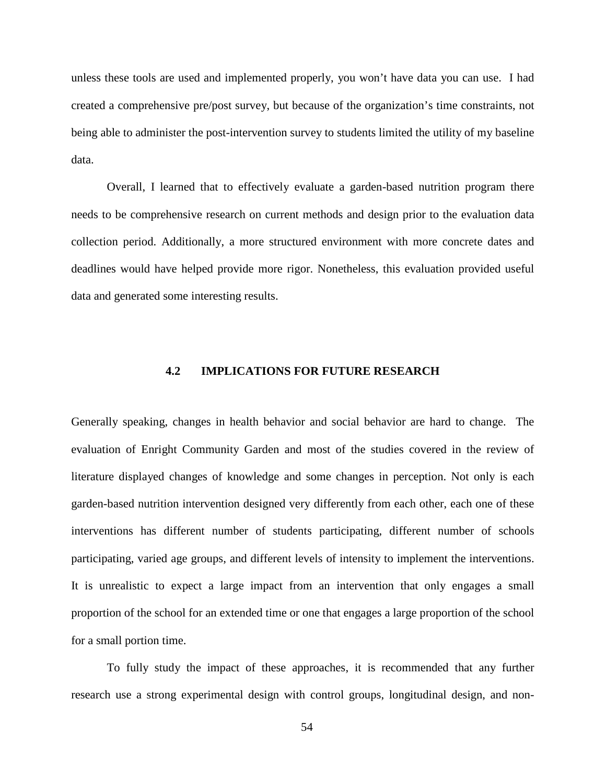unless these tools are used and implemented properly, you won't have data you can use. I had created a comprehensive pre/post survey, but because of the organization's time constraints, not being able to administer the post-intervention survey to students limited the utility of my baseline data.

Overall, I learned that to effectively evaluate a garden-based nutrition program there needs to be comprehensive research on current methods and design prior to the evaluation data collection period. Additionally, a more structured environment with more concrete dates and deadlines would have helped provide more rigor. Nonetheless, this evaluation provided useful data and generated some interesting results.

# **4.2 IMPLICATIONS FOR FUTURE RESEARCH**

<span id="page-60-0"></span>Generally speaking, changes in health behavior and social behavior are hard to change. The evaluation of Enright Community Garden and most of the studies covered in the review of literature displayed changes of knowledge and some changes in perception. Not only is each garden-based nutrition intervention designed very differently from each other, each one of these interventions has different number of students participating, different number of schools participating, varied age groups, and different levels of intensity to implement the interventions. It is unrealistic to expect a large impact from an intervention that only engages a small proportion of the school for an extended time or one that engages a large proportion of the school for a small portion time.

To fully study the impact of these approaches, it is recommended that any further research use a strong experimental design with control groups, longitudinal design, and non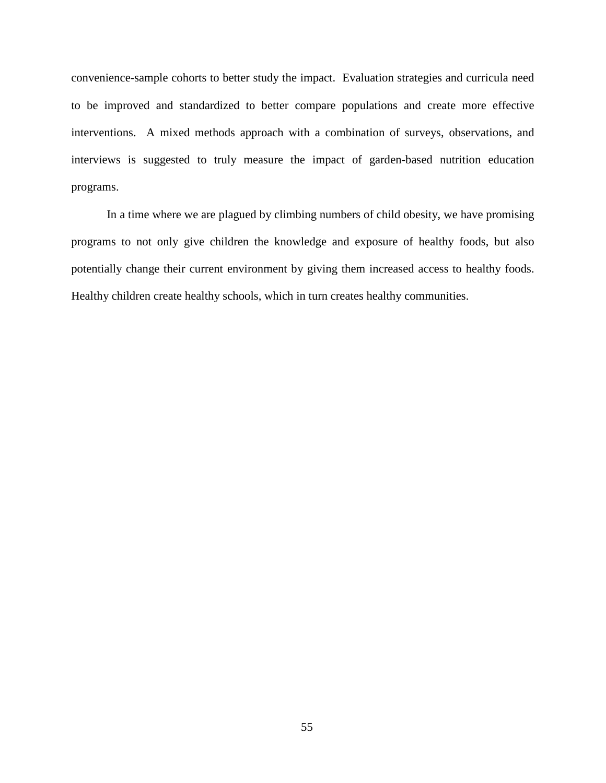convenience-sample cohorts to better study the impact. Evaluation strategies and curricula need to be improved and standardized to better compare populations and create more effective interventions. A mixed methods approach with a combination of surveys, observations, and interviews is suggested to truly measure the impact of garden-based nutrition education programs.

In a time where we are plagued by climbing numbers of child obesity, we have promising programs to not only give children the knowledge and exposure of healthy foods, but also potentially change their current environment by giving them increased access to healthy foods. Healthy children create healthy schools, which in turn creates healthy communities.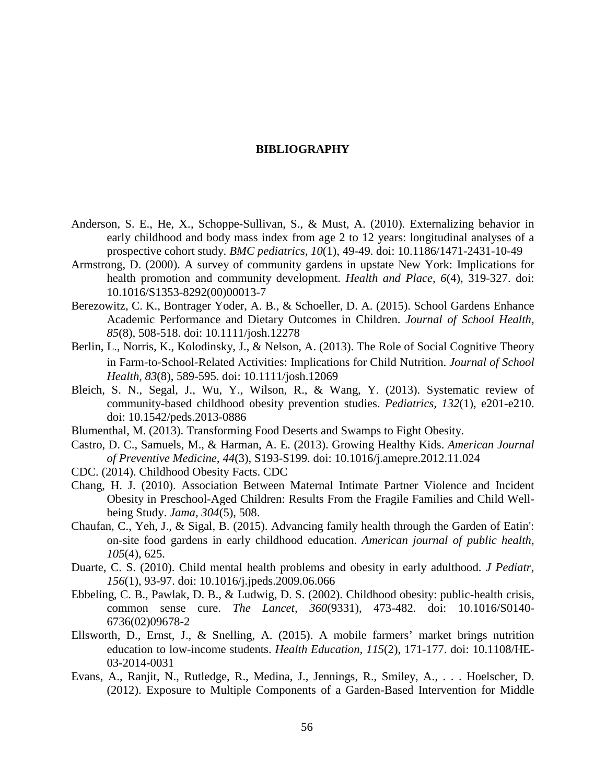#### **BIBLIOGRAPHY**

- <span id="page-62-0"></span>Anderson, S. E., He, X., Schoppe-Sullivan, S., & Must, A. (2010). Externalizing behavior in early childhood and body mass index from age 2 to 12 years: longitudinal analyses of a prospective cohort study. *BMC pediatrics, 10*(1), 49-49. doi: 10.1186/1471-2431-10-49
- Armstrong, D. (2000). A survey of community gardens in upstate New York: Implications for health promotion and community development. *Health and Place, 6*(4), 319-327. doi: 10.1016/S1353-8292(00)00013-7
- Berezowitz, C. K., Bontrager Yoder, A. B., & Schoeller, D. A. (2015). School Gardens Enhance Academic Performance and Dietary Outcomes in Children. *Journal of School Health, 85*(8), 508-518. doi: 10.1111/josh.12278
- Berlin, L., Norris, K., Kolodinsky, J., & Nelson, A. (2013). The Role of Social Cognitive Theory in Farm‐to‐School‐Related Activities: Implications for Child Nutrition. *Journal of School Health, 83*(8), 589-595. doi: 10.1111/josh.12069
- Bleich, S. N., Segal, J., Wu, Y., Wilson, R., & Wang, Y. (2013). Systematic review of community-based childhood obesity prevention studies. *Pediatrics, 132*(1), e201-e210. doi: 10.1542/peds.2013-0886
- Blumenthal, M. (2013). Transforming Food Deserts and Swamps to Fight Obesity.
- Castro, D. C., Samuels, M., & Harman, A. E. (2013). Growing Healthy Kids. *American Journal of Preventive Medicine, 44*(3), S193-S199. doi: 10.1016/j.amepre.2012.11.024
- CDC. (2014). Childhood Obesity Facts. CDC
- Chang, H. J. (2010). Association Between Maternal Intimate Partner Violence and Incident Obesity in Preschool-Aged Children: Results From the Fragile Families and Child Wellbeing Study. *Jama, 304*(5), 508.
- Chaufan, C., Yeh, J., & Sigal, B. (2015). Advancing family health through the Garden of Eatin': on-site food gardens in early childhood education. *American journal of public health, 105*(4), 625.
- Duarte, C. S. (2010). Child mental health problems and obesity in early adulthood. *J Pediatr, 156*(1), 93-97. doi: 10.1016/j.jpeds.2009.06.066
- Ebbeling, C. B., Pawlak, D. B., & Ludwig, D. S. (2002). Childhood obesity: public-health crisis, common sense cure. *The Lancet, 360*(9331), 473-482. doi: 10.1016/S0140- 6736(02)09678-2
- Ellsworth, D., Ernst, J., & Snelling, A. (2015). A mobile farmers' market brings nutrition education to low-income students. *Health Education, 115*(2), 171-177. doi: 10.1108/HE-03-2014-0031
- Evans, A., Ranjit, N., Rutledge, R., Medina, J., Jennings, R., Smiley, A., . . . Hoelscher, D. (2012). Exposure to Multiple Components of a Garden-Based Intervention for Middle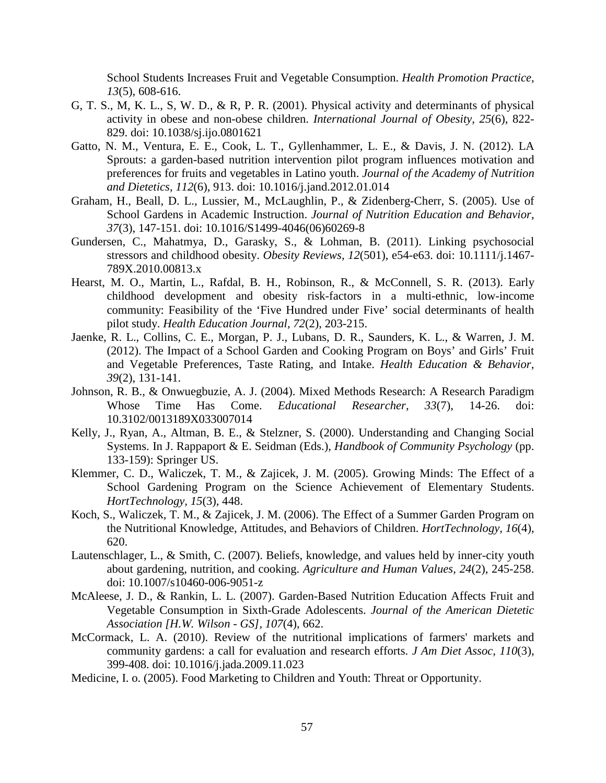School Students Increases Fruit and Vegetable Consumption. *Health Promotion Practice, 13*(5), 608-616.

- G, T. S., M, K. L., S, W. D., & R, P. R. (2001). Physical activity and determinants of physical activity in obese and non-obese children. *International Journal of Obesity, 25*(6), 822- 829. doi: 10.1038/sj.ijo.0801621
- Gatto, N. M., Ventura, E. E., Cook, L. T., Gyllenhammer, L. E., & Davis, J. N. (2012). LA Sprouts: a garden-based nutrition intervention pilot program influences motivation and preferences for fruits and vegetables in Latino youth. *Journal of the Academy of Nutrition and Dietetics, 112*(6), 913. doi: 10.1016/j.jand.2012.01.014
- Graham, H., Beall, D. L., Lussier, M., McLaughlin, P., & Zidenberg-Cherr, S. (2005). Use of School Gardens in Academic Instruction. *Journal of Nutrition Education and Behavior, 37*(3), 147-151. doi: 10.1016/S1499-4046(06)60269-8
- Gundersen, C., Mahatmya, D., Garasky, S., & Lohman, B. (2011). Linking psychosocial stressors and childhood obesity. *Obesity Reviews, 12*(501), e54-e63. doi: 10.1111/j.1467- 789X.2010.00813.x
- Hearst, M. O., Martin, L., Rafdal, B. H., Robinson, R., & McConnell, S. R. (2013). Early childhood development and obesity risk-factors in a multi-ethnic, low-income community: Feasibility of the 'Five Hundred under Five' social determinants of health pilot study. *Health Education Journal, 72*(2), 203-215.
- Jaenke, R. L., Collins, C. E., Morgan, P. J., Lubans, D. R., Saunders, K. L., & Warren, J. M. (2012). The Impact of a School Garden and Cooking Program on Boys' and Girls' Fruit and Vegetable Preferences, Taste Rating, and Intake. *Health Education & Behavior, 39*(2), 131-141.
- Johnson, R. B., & Onwuegbuzie, A. J. (2004). Mixed Methods Research: A Research Paradigm Whose Time Has Come. *Educational Researcher, 33*(7), 14-26. doi: 10.3102/0013189X033007014
- Kelly, J., Ryan, A., Altman, B. E., & Stelzner, S. (2000). Understanding and Changing Social Systems. In J. Rappaport & E. Seidman (Eds.), *Handbook of Community Psychology* (pp. 133-159): Springer US.
- Klemmer, C. D., Waliczek, T. M., & Zajicek, J. M. (2005). Growing Minds: The Effect of a School Gardening Program on the Science Achievement of Elementary Students. *HortTechnology, 15*(3), 448.
- Koch, S., Waliczek, T. M., & Zajicek, J. M. (2006). The Effect of a Summer Garden Program on the Nutritional Knowledge, Attitudes, and Behaviors of Children. *HortTechnology, 16*(4), 620.
- Lautenschlager, L., & Smith, C. (2007). Beliefs, knowledge, and values held by inner-city youth about gardening, nutrition, and cooking. *Agriculture and Human Values, 24*(2), 245-258. doi: 10.1007/s10460-006-9051-z
- McAleese, J. D., & Rankin, L. L. (2007). Garden-Based Nutrition Education Affects Fruit and Vegetable Consumption in Sixth-Grade Adolescents. *Journal of the American Dietetic Association [H.W. Wilson - GS], 107*(4), 662.
- McCormack, L. A. (2010). Review of the nutritional implications of farmers' markets and community gardens: a call for evaluation and research efforts. *J Am Diet Assoc, 110*(3), 399-408. doi: 10.1016/j.jada.2009.11.023
- Medicine, I. o. (2005). Food Marketing to Children and Youth: Threat or Opportunity.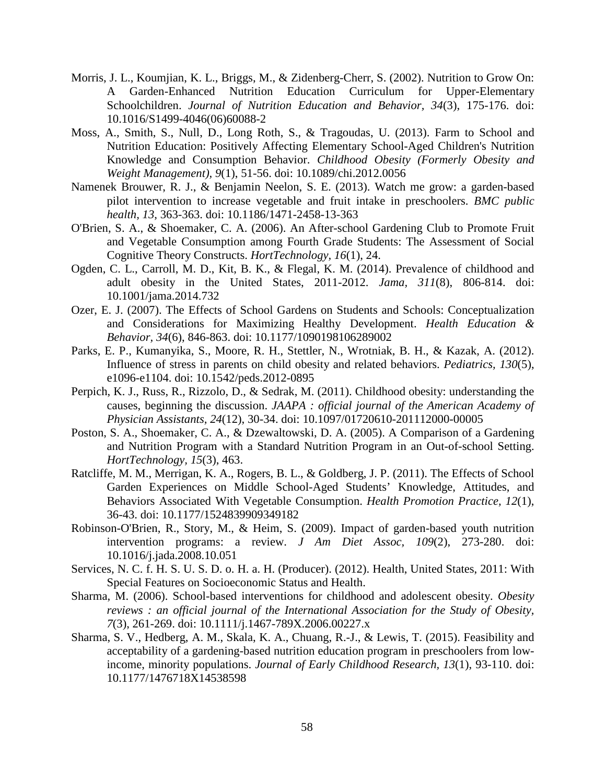- Morris, J. L., Koumjian, K. L., Briggs, M., & Zidenberg-Cherr, S. (2002). Nutrition to Grow On: A Garden-Enhanced Nutrition Education Curriculum for Upper-Elementary Schoolchildren. *Journal of Nutrition Education and Behavior, 34*(3), 175-176. doi: 10.1016/S1499-4046(06)60088-2
- Moss, A., Smith, S., Null, D., Long Roth, S., & Tragoudas, U. (2013). Farm to School and Nutrition Education: Positively Affecting Elementary School-Aged Children's Nutrition Knowledge and Consumption Behavior. *Childhood Obesity (Formerly Obesity and Weight Management), 9*(1), 51-56. doi: 10.1089/chi.2012.0056
- Namenek Brouwer, R. J., & Benjamin Neelon, S. E. (2013). Watch me grow: a garden-based pilot intervention to increase vegetable and fruit intake in preschoolers. *BMC public health, 13*, 363-363. doi: 10.1186/1471-2458-13-363
- O'Brien, S. A., & Shoemaker, C. A. (2006). An After-school Gardening Club to Promote Fruit and Vegetable Consumption among Fourth Grade Students: The Assessment of Social Cognitive Theory Constructs. *HortTechnology, 16*(1), 24.
- Ogden, C. L., Carroll, M. D., Kit, B. K., & Flegal, K. M. (2014). Prevalence of childhood and adult obesity in the United States, 2011-2012. *Jama, 311*(8), 806-814. doi: 10.1001/jama.2014.732
- Ozer, E. J. (2007). The Effects of School Gardens on Students and Schools: Conceptualization and Considerations for Maximizing Healthy Development. *Health Education & Behavior, 34*(6), 846-863. doi: 10.1177/1090198106289002
- Parks, E. P., Kumanyika, S., Moore, R. H., Stettler, N., Wrotniak, B. H., & Kazak, A. (2012). Influence of stress in parents on child obesity and related behaviors. *Pediatrics, 130*(5), e1096-e1104. doi: 10.1542/peds.2012-0895
- Perpich, K. J., Russ, R., Rizzolo, D., & Sedrak, M. (2011). Childhood obesity: understanding the causes, beginning the discussion. *JAAPA : official journal of the American Academy of Physician Assistants, 24*(12), 30-34. doi: 10.1097/01720610-201112000-00005
- Poston, S. A., Shoemaker, C. A., & Dzewaltowski, D. A. (2005). A Comparison of a Gardening and Nutrition Program with a Standard Nutrition Program in an Out-of-school Setting. *HortTechnology, 15*(3), 463.
- Ratcliffe, M. M., Merrigan, K. A., Rogers, B. L., & Goldberg, J. P. (2011). The Effects of School Garden Experiences on Middle School-Aged Students' Knowledge, Attitudes, and Behaviors Associated With Vegetable Consumption. *Health Promotion Practice, 12*(1), 36-43. doi: 10.1177/1524839909349182
- Robinson-O'Brien, R., Story, M., & Heim, S. (2009). Impact of garden-based youth nutrition intervention programs: a review. *J Am Diet Assoc, 109*(2), 273-280. doi: 10.1016/j.jada.2008.10.051
- Services, N. C. f. H. S. U. S. D. o. H. a. H. (Producer). (2012). Health, United States, 2011: With Special Features on Socioeconomic Status and Health.
- Sharma, M. (2006). School-based interventions for childhood and adolescent obesity. *Obesity reviews : an official journal of the International Association for the Study of Obesity, 7*(3), 261-269. doi: 10.1111/j.1467-789X.2006.00227.x
- Sharma, S. V., Hedberg, A. M., Skala, K. A., Chuang, R.-J., & Lewis, T. (2015). Feasibility and acceptability of a gardening-based nutrition education program in preschoolers from lowincome, minority populations. *Journal of Early Childhood Research, 13*(1), 93-110. doi: 10.1177/1476718X14538598